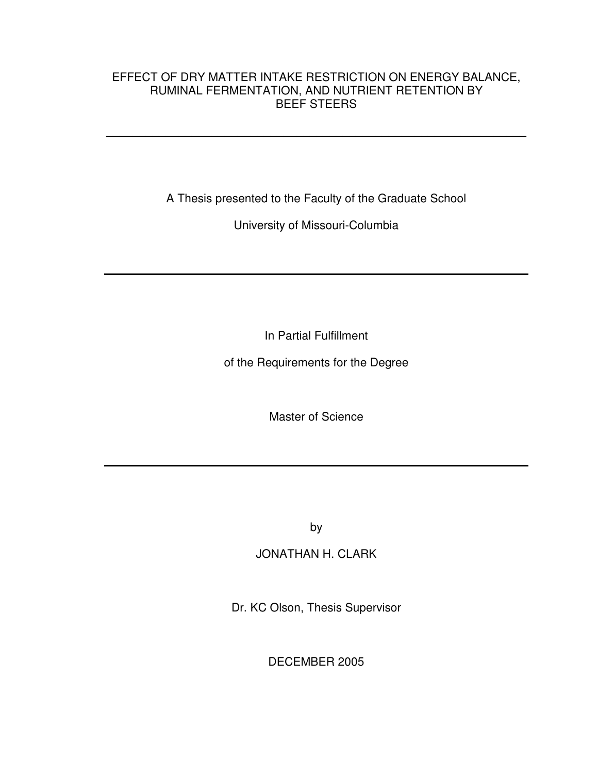### EFFECT OF DRY MATTER INTAKE RESTRICTION ON ENERGY BALANCE, RUMINAL FERMENTATION, AND NUTRIENT RETENTION BY BEEF STEERS

**\_\_\_\_\_\_\_\_\_\_\_\_\_\_\_\_\_\_\_\_\_\_\_\_\_\_\_\_\_\_\_\_\_\_\_\_\_\_\_\_\_\_\_\_\_\_\_\_\_\_\_\_\_\_\_\_\_\_\_\_\_\_\_\_** 

A Thesis presented to the Faculty of the Graduate School

University of Missouri-Columbia

In Partial Fulfillment

of the Requirements for the Degree

Master of Science

by

# JONATHAN H. CLARK

Dr. KC Olson, Thesis Supervisor

DECEMBER 2005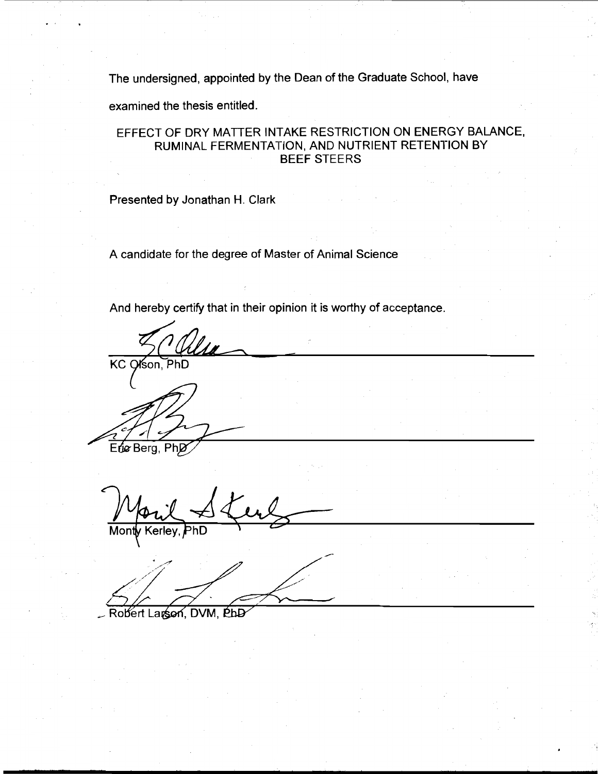The undersigned, appointed by the Dean of the Graduate School, have

examined the thesis entitled.

### EFFECT OF DRY MATTER INTAKE RESTRICTION ON ENERGY BALANCE, RUMINAL FERMENTATION, AND NUTRIENT RETENTION BY **BEEF STEERS**

Presented by Jonathan H. Clark

A candidate for the degree of Master of Animal Science

And hereby certify that in their opinion it is worthy of acceptance.

KC Ofson, PhD

Etic Berg, PhD

obert Larson, DVM, PhD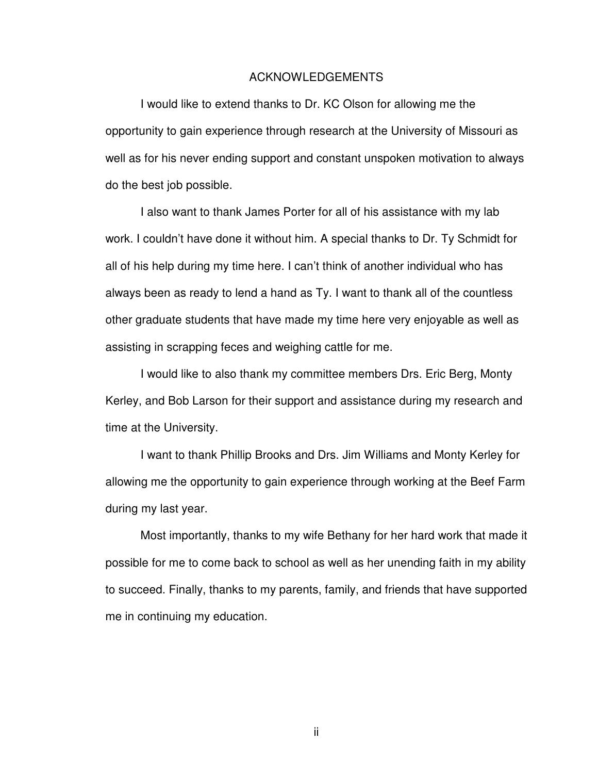#### ACKNOWLEDGEMENTS

I would like to extend thanks to Dr. KC Olson for allowing me the opportunity to gain experience through research at the University of Missouri as well as for his never ending support and constant unspoken motivation to always do the best job possible.

I also want to thank James Porter for all of his assistance with my lab work. I couldn't have done it without him. A special thanks to Dr. Ty Schmidt for all of his help during my time here. I can't think of another individual who has always been as ready to lend a hand as Ty. I want to thank all of the countless other graduate students that have made my time here very enjoyable as well as assisting in scrapping feces and weighing cattle for me.

I would like to also thank my committee members Drs. Eric Berg, Monty Kerley, and Bob Larson for their support and assistance during my research and time at the University.

I want to thank Phillip Brooks and Drs. Jim Williams and Monty Kerley for allowing me the opportunity to gain experience through working at the Beef Farm during my last year.

Most importantly, thanks to my wife Bethany for her hard work that made it possible for me to come back to school as well as her unending faith in my ability to succeed. Finally, thanks to my parents, family, and friends that have supported me in continuing my education.

ii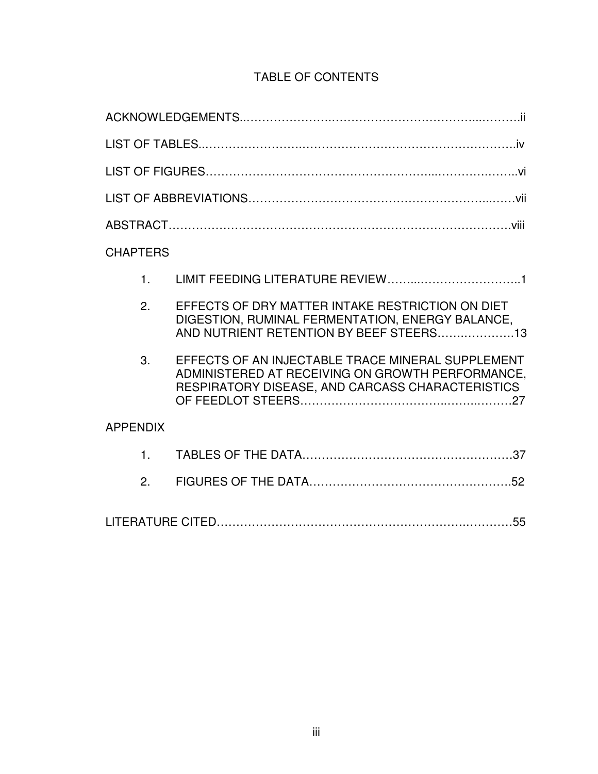# TABLE OF CONTENTS

| <b>CHAPTERS</b> |                                                                                                                                                           |
|-----------------|-----------------------------------------------------------------------------------------------------------------------------------------------------------|
| 1 <sub>1</sub>  |                                                                                                                                                           |
| 2.              | EFFECTS OF DRY MATTER INTAKE RESTRICTION ON DIET<br>DIGESTION, RUMINAL FERMENTATION, ENERGY BALANCE,<br>AND NUTRIENT RETENTION BY BEEF STEERS13           |
| 3.              | EFFECTS OF AN INJECTABLE TRACE MINERAL SUPPLEMENT<br>ADMINISTERED AT RECEIVING ON GROWTH PERFORMANCE,<br>RESPIRATORY DISEASE, AND CARCASS CHARACTERISTICS |
| <b>APPENDIX</b> |                                                                                                                                                           |
| 1 <sub>1</sub>  |                                                                                                                                                           |
| 2.              |                                                                                                                                                           |
|                 |                                                                                                                                                           |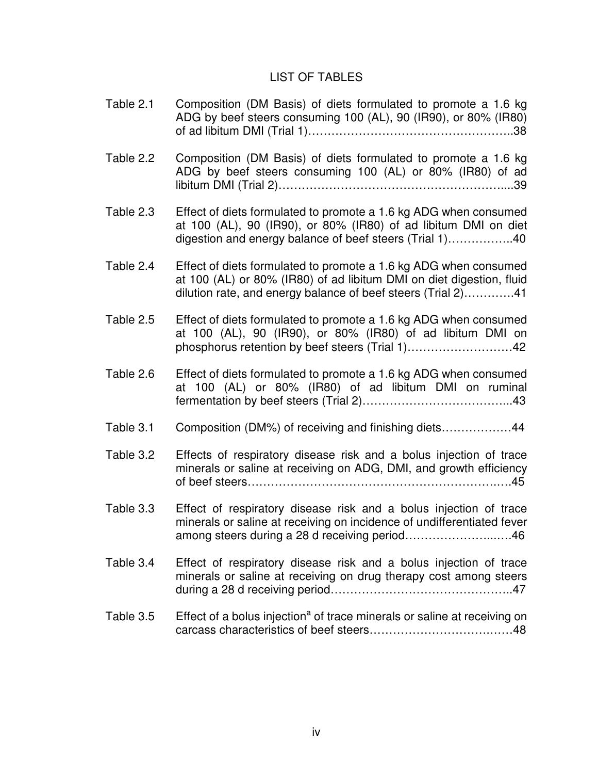### LIST OF TABLES

- Table 2.1 Composition (DM Basis) of diets formulated to promote a 1.6 kg ADG by beef steers consuming 100 (AL), 90 (IR90), or 80% (IR80) of ad libitum DMI (Trial 1)……………………………………………..38
- Table 2.2 Composition (DM Basis) of diets formulated to promote a 1.6 kg ADG by beef steers consuming 100 (AL) or 80% (IR80) of ad libitum DMI (Trial 2)…………………………………………………....39
- Table 2.3 Effect of diets formulated to promote a 1.6 kg ADG when consumed at 100 (AL), 90 (IR90), or 80% (IR80) of ad libitum DMI on diet digestion and energy balance of beef steers (Trial 1)……………..40
- Table 2.4 Effect of diets formulated to promote a 1.6 kg ADG when consumed at 100 (AL) or 80% (IR80) of ad libitum DMI on diet digestion, fluid dilution rate, and energy balance of beef steers (Trial 2)………….41
- Table 2.5 Effect of diets formulated to promote a 1.6 kg ADG when consumed at 100 (AL), 90 (IR90), or 80% (IR80) of ad libitum DMI on phosphorus retention by beef steers (Trial 1)………………………42
- Table 2.6 Effect of diets formulated to promote a 1.6 kg ADG when consumed at 100 (AL) or 80% (IR80) of ad libitum DMI on ruminal fermentation by beef steers (Trial 2)………………………………...43
- Table 3.1 Composition (DM%) of receiving and finishing diets………………44
- Table 3.2 Effects of respiratory disease risk and a bolus injection of trace minerals or saline at receiving on ADG, DMI, and growth efficiency of beef steers……………………………………………………….….45
- Table 3.3 Effect of respiratory disease risk and a bolus injection of trace minerals or saline at receiving on incidence of undifferentiated fever among steers during a 28 d receiving period…………………...….46
- Table 3.4 Effect of respiratory disease risk and a bolus injection of trace minerals or saline at receiving on drug therapy cost among steers during a 28 d receiving period………………………………………..47
- Table 3.5 Effect of a bolus injection<sup>a</sup> of trace minerals or saline at receiving on carcass characteristics of beef steers………………………….……48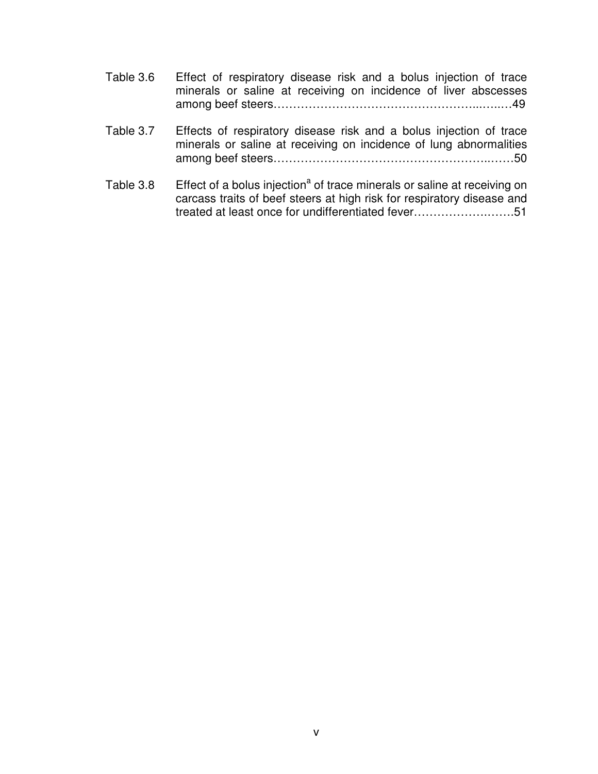| Table 3.6 | Effect of respiratory disease risk and a bolus injection of trace |
|-----------|-------------------------------------------------------------------|
|           | minerals or saline at receiving on incidence of liver abscesses   |
|           |                                                                   |

- Table 3.7 Effects of respiratory disease risk and a bolus injection of trace minerals or saline at receiving on incidence of lung abnormalities among beef steers………………………………………………..……50
- Table 3.8 Effect of a bolus injection<sup>a</sup> of trace minerals or saline at receiving on carcass traits of beef steers at high risk for respiratory disease and treated at least once for undifferentiated fever……………….…….51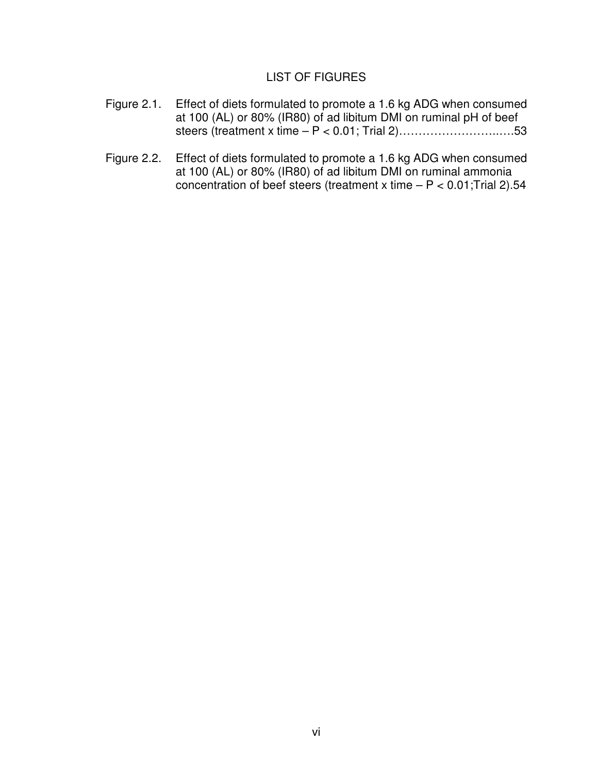### LIST OF FIGURES

- Figure 2.1. Effect of diets formulated to promote a 1.6 kg ADG when consumed at 100 (AL) or 80% (IR80) of ad libitum DMI on ruminal pH of beef steers (treatment x time – P < 0.01; Trial 2)……………………..….53
- Figure 2.2. Effect of diets formulated to promote a 1.6 kg ADG when consumed at 100 (AL) or 80% (IR80) of ad libitum DMI on ruminal ammonia concentration of beef steers (treatment x time  $- P < 0.01$ ; Trial 2).54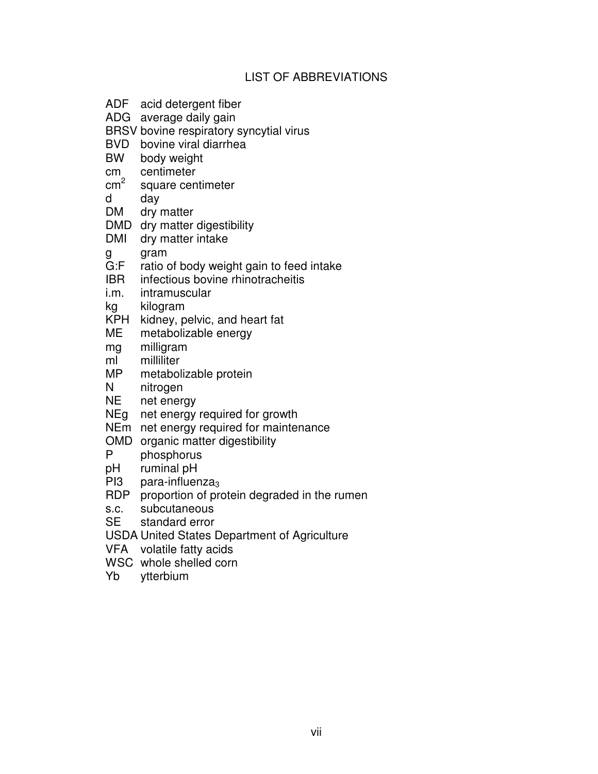### LIST OF ABBREVIATIONS

- ADF acid detergent fiber
- ADG average daily gain
- BRSV bovine respiratory syncytial virus
- BVD bovine viral diarrhea<br>BW body weight
- body weight
- cm centimeter
- $cm<sup>2</sup>$ square centimeter
- d day
- DM dry matter
- DMD dry matter digestibility
- DMI dry matter intake
- g gram<br>G:F ratio
- G:F ratio of body weight gain to feed intake<br>IBR infectious bovine rhinotracheitis
- infectious bovine rhinotracheitis
- i.m. intramuscular
- kg kilogram
- KPH kidney, pelvic, and heart fat
- ME metabolizable energy
- mg milligram
- ml milliliter
- MP metabolizable protein<br>N nitrogen
- nitrogen
- NE net energy
- NEg net energy required for growth
- NEm net energy required for maintenance
- OMD organic matter digestibility
- phosphorus
- pH ruminal pH
- PI3 para-influenza $_3$
- RDP proportion of protein degraded in the rumen
- s.c. subcutaneous
- SE standard error
- USDA United States Department of Agriculture
- VFA volatile fatty acids
- WSC whole shelled corn
- Yb ytterbium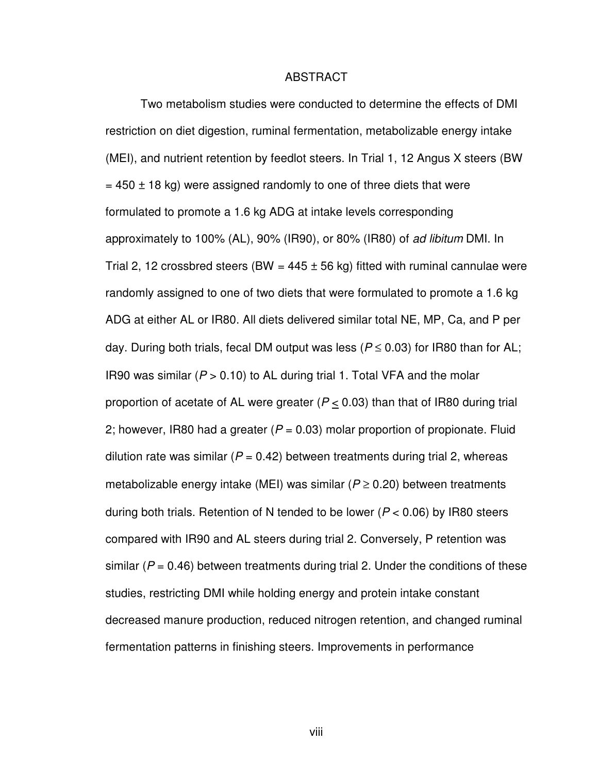#### ABSTRACT

Two metabolism studies were conducted to determine the effects of DMI restriction on diet digestion, ruminal fermentation, metabolizable energy intake (MEI), and nutrient retention by feedlot steers. In Trial 1, 12 Angus X steers (BW  $= 450 \pm 18$  kg) were assigned randomly to one of three diets that were formulated to promote a 1.6 kg ADG at intake levels corresponding approximately to 100% (AL), 90% (IR90), or 80% (IR80) of ad libitum DMI. In Trial 2, 12 crossbred steers (BW =  $445 \pm 56$  kg) fitted with ruminal cannulae were randomly assigned to one of two diets that were formulated to promote a 1.6 kg ADG at either AL or IR80. All diets delivered similar total NE, MP, Ca, and P per day. During both trials, fecal DM output was less ( $P \le 0.03$ ) for IR80 than for AL; IR90 was similar ( $P > 0.10$ ) to AL during trial 1. Total VFA and the molar proportion of acetate of AL were greater ( $P \le 0.03$ ) than that of IR80 during trial 2; however, IR80 had a greater ( $P = 0.03$ ) molar proportion of propionate. Fluid dilution rate was similar ( $P = 0.42$ ) between treatments during trial 2, whereas metabolizable energy intake (MEI) was similar ( $P \ge 0.20$ ) between treatments during both trials. Retention of N tended to be lower ( $P < 0.06$ ) by IR80 steers compared with IR90 and AL steers during trial 2. Conversely, P retention was similar ( $P = 0.46$ ) between treatments during trial 2. Under the conditions of these studies, restricting DMI while holding energy and protein intake constant decreased manure production, reduced nitrogen retention, and changed ruminal fermentation patterns in finishing steers. Improvements in performance

viii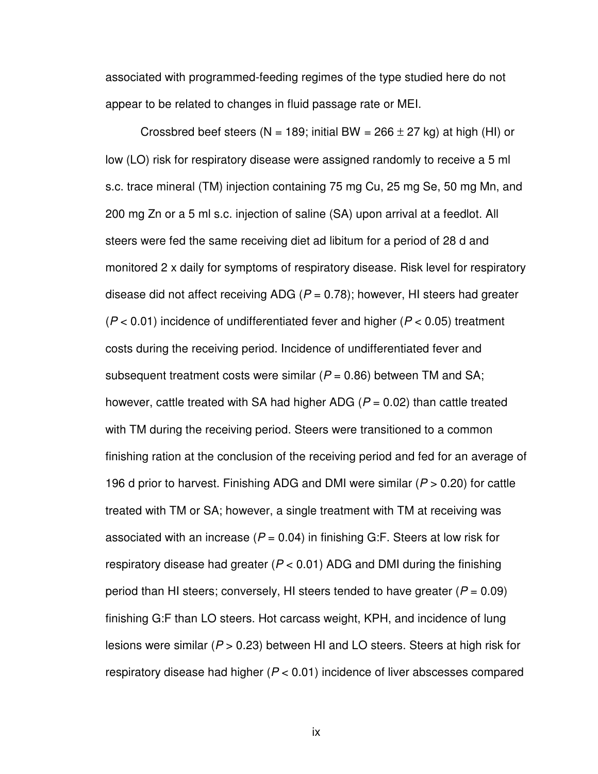associated with programmed-feeding regimes of the type studied here do not appear to be related to changes in fluid passage rate or MEI.

Crossbred beef steers (N = 189; initial BW =  $266 \pm 27$  kg) at high (HI) or low (LO) risk for respiratory disease were assigned randomly to receive a 5 ml s.c. trace mineral (TM) injection containing 75 mg Cu, 25 mg Se, 50 mg Mn, and 200 mg Zn or a 5 ml s.c. injection of saline (SA) upon arrival at a feedlot. All steers were fed the same receiving diet ad libitum for a period of 28 d and monitored 2 x daily for symptoms of respiratory disease. Risk level for respiratory disease did not affect receiving ADG ( $P = 0.78$ ); however, HI steers had greater  $(P < 0.01)$  incidence of undifferentiated fever and higher ( $P < 0.05$ ) treatment costs during the receiving period. Incidence of undifferentiated fever and subsequent treatment costs were similar ( $P = 0.86$ ) between TM and SA; however, cattle treated with SA had higher ADG ( $P = 0.02$ ) than cattle treated with TM during the receiving period. Steers were transitioned to a common finishing ration at the conclusion of the receiving period and fed for an average of 196 d prior to harvest. Finishing ADG and DMI were similar ( $P > 0.20$ ) for cattle treated with TM or SA; however, a single treatment with TM at receiving was associated with an increase ( $P = 0.04$ ) in finishing G:F. Steers at low risk for respiratory disease had greater ( $P < 0.01$ ) ADG and DMI during the finishing period than HI steers; conversely, HI steers tended to have greater ( $P = 0.09$ ) finishing G:F than LO steers. Hot carcass weight, KPH, and incidence of lung lesions were similar ( $P > 0.23$ ) between HI and LO steers. Steers at high risk for respiratory disease had higher ( $P < 0.01$ ) incidence of liver abscesses compared

ix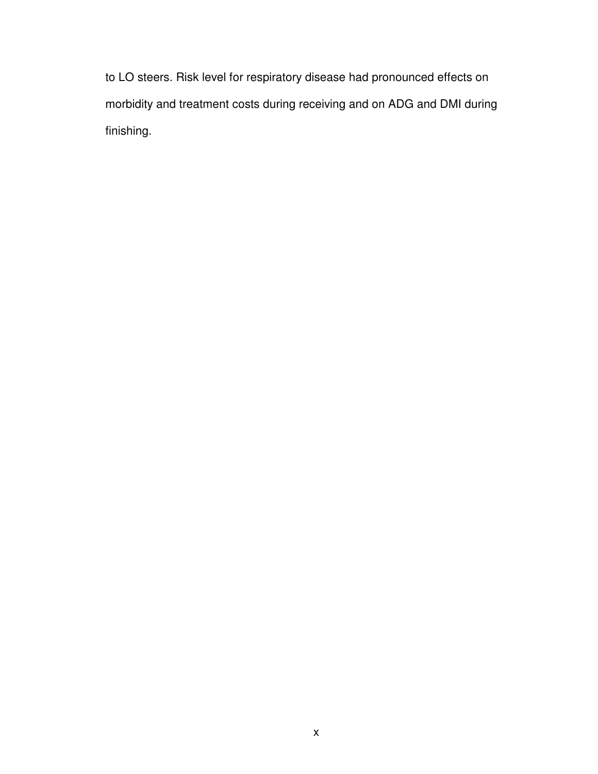to LO steers. Risk level for respiratory disease had pronounced effects on morbidity and treatment costs during receiving and on ADG and DMI during finishing.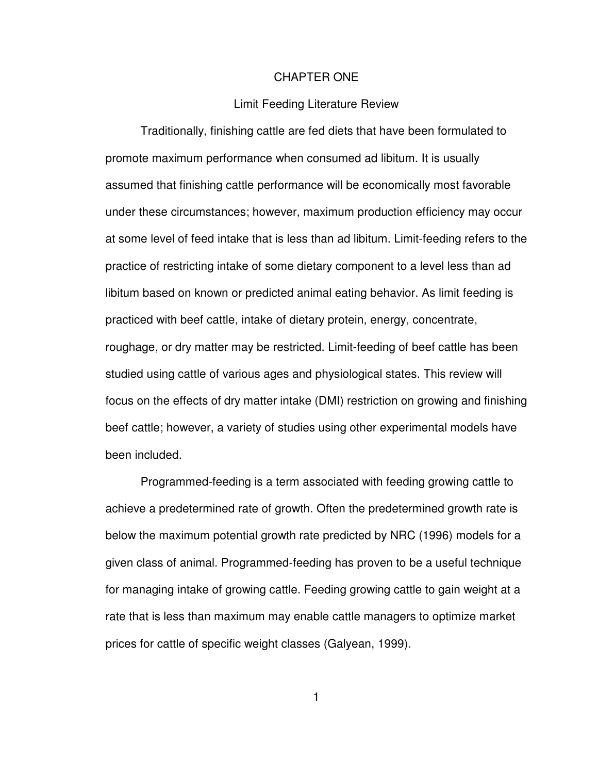#### CHAPTER ONE

#### Limit Feeding Literature Review

Traditionally, finishing cattle are fed diets that have been formulated to promote maximum performance when consumed ad libitum. It is usually assumed that finishing cattle performance will be economically most favorable under these circumstances; however, maximum production efficiency may occur at some level of feed intake that is less than ad libitum. Limit-feeding refers to the practice of restricting intake of some dietary component to a level less than ad libitum based on known or predicted animal eating behavior. As limit feeding is practiced with beef cattle, intake of dietary protein, energy, concentrate, roughage, or dry matter may be restricted. Limit-feeding of beef cattle has been studied using cattle of various ages and physiological states. This review will focus on the effects of dry matter intake (DMI) restriction on growing and finishing beef cattle; however, a variety of studies using other experimental models have been included.

 Programmed-feeding is a term associated with feeding growing cattle to achieve a predetermined rate of growth. Often the predetermined growth rate is below the maximum potential growth rate predicted by NRC (1996) models for a given class of animal. Programmed-feeding has proven to be a useful technique for managing intake of growing cattle. Feeding growing cattle to gain weight at a rate that is less than maximum may enable cattle managers to optimize market prices for cattle of specific weight classes (Galyean, 1999).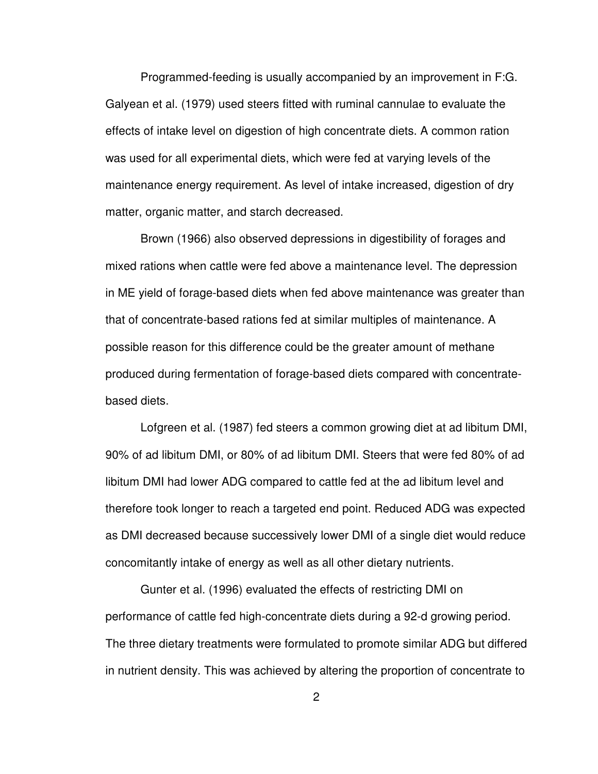Programmed-feeding is usually accompanied by an improvement in F:G. Galyean et al. (1979) used steers fitted with ruminal cannulae to evaluate the effects of intake level on digestion of high concentrate diets. A common ration was used for all experimental diets, which were fed at varying levels of the maintenance energy requirement. As level of intake increased, digestion of dry matter, organic matter, and starch decreased.

Brown (1966) also observed depressions in digestibility of forages and mixed rations when cattle were fed above a maintenance level. The depression in ME yield of forage-based diets when fed above maintenance was greater than that of concentrate-based rations fed at similar multiples of maintenance. A possible reason for this difference could be the greater amount of methane produced during fermentation of forage-based diets compared with concentratebased diets.

Lofgreen et al. (1987) fed steers a common growing diet at ad libitum DMI, 90% of ad libitum DMI, or 80% of ad libitum DMI. Steers that were fed 80% of ad libitum DMI had lower ADG compared to cattle fed at the ad libitum level and therefore took longer to reach a targeted end point. Reduced ADG was expected as DMI decreased because successively lower DMI of a single diet would reduce concomitantly intake of energy as well as all other dietary nutrients.

Gunter et al. (1996) evaluated the effects of restricting DMI on performance of cattle fed high-concentrate diets during a 92-d growing period. The three dietary treatments were formulated to promote similar ADG but differed in nutrient density. This was achieved by altering the proportion of concentrate to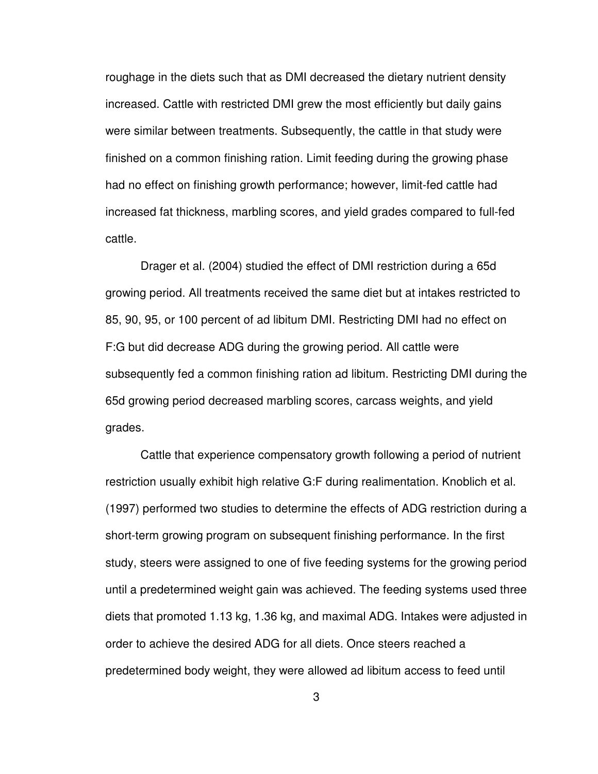roughage in the diets such that as DMI decreased the dietary nutrient density increased. Cattle with restricted DMI grew the most efficiently but daily gains were similar between treatments. Subsequently, the cattle in that study were finished on a common finishing ration. Limit feeding during the growing phase had no effect on finishing growth performance; however, limit-fed cattle had increased fat thickness, marbling scores, and yield grades compared to full-fed cattle.

Drager et al. (2004) studied the effect of DMI restriction during a 65d growing period. All treatments received the same diet but at intakes restricted to 85, 90, 95, or 100 percent of ad libitum DMI. Restricting DMI had no effect on F:G but did decrease ADG during the growing period. All cattle were subsequently fed a common finishing ration ad libitum. Restricting DMI during the 65d growing period decreased marbling scores, carcass weights, and yield grades.

Cattle that experience compensatory growth following a period of nutrient restriction usually exhibit high relative G:F during realimentation. Knoblich et al. (1997) performed two studies to determine the effects of ADG restriction during a short-term growing program on subsequent finishing performance. In the first study, steers were assigned to one of five feeding systems for the growing period until a predetermined weight gain was achieved. The feeding systems used three diets that promoted 1.13 kg, 1.36 kg, and maximal ADG. Intakes were adjusted in order to achieve the desired ADG for all diets. Once steers reached a predetermined body weight, they were allowed ad libitum access to feed until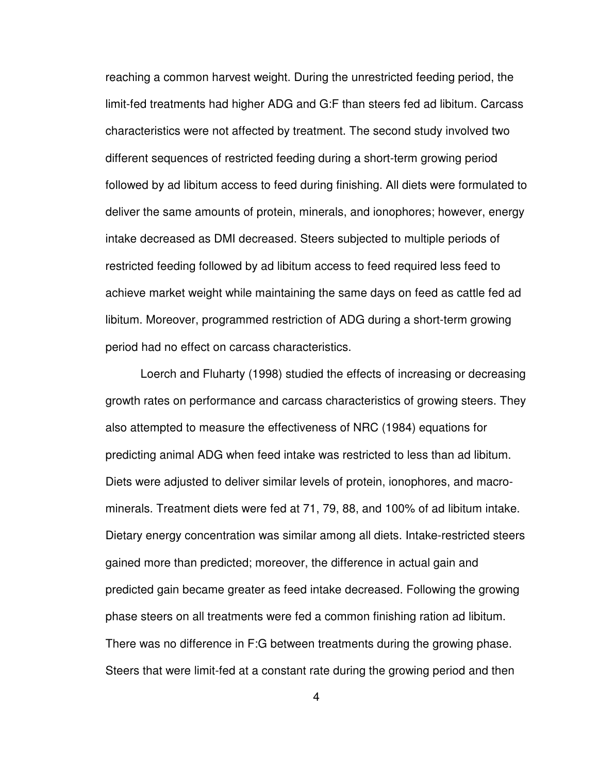reaching a common harvest weight. During the unrestricted feeding period, the limit-fed treatments had higher ADG and G:F than steers fed ad libitum. Carcass characteristics were not affected by treatment. The second study involved two different sequences of restricted feeding during a short-term growing period followed by ad libitum access to feed during finishing. All diets were formulated to deliver the same amounts of protein, minerals, and ionophores; however, energy intake decreased as DMI decreased. Steers subjected to multiple periods of restricted feeding followed by ad libitum access to feed required less feed to achieve market weight while maintaining the same days on feed as cattle fed ad libitum. Moreover, programmed restriction of ADG during a short-term growing period had no effect on carcass characteristics.

Loerch and Fluharty (1998) studied the effects of increasing or decreasing growth rates on performance and carcass characteristics of growing steers. They also attempted to measure the effectiveness of NRC (1984) equations for predicting animal ADG when feed intake was restricted to less than ad libitum. Diets were adjusted to deliver similar levels of protein, ionophores, and macrominerals. Treatment diets were fed at 71, 79, 88, and 100% of ad libitum intake. Dietary energy concentration was similar among all diets. Intake-restricted steers gained more than predicted; moreover, the difference in actual gain and predicted gain became greater as feed intake decreased. Following the growing phase steers on all treatments were fed a common finishing ration ad libitum. There was no difference in F:G between treatments during the growing phase. Steers that were limit-fed at a constant rate during the growing period and then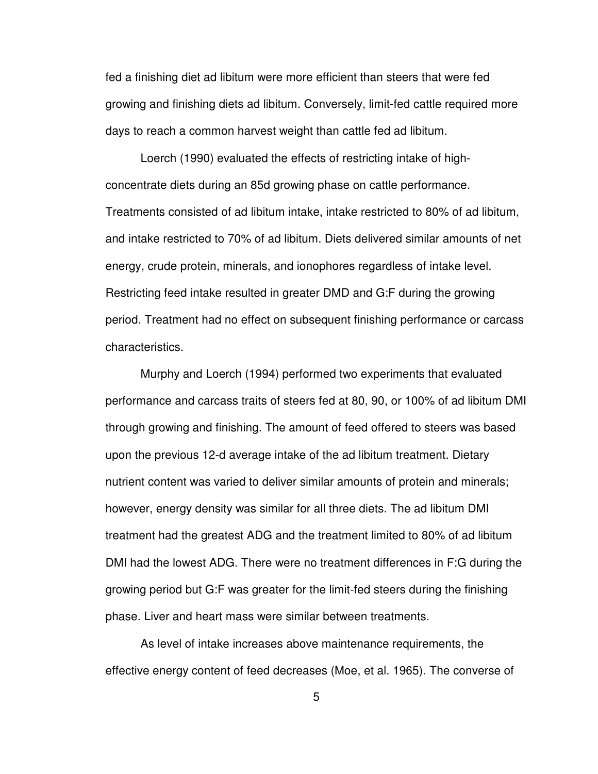fed a finishing diet ad libitum were more efficient than steers that were fed growing and finishing diets ad libitum. Conversely, limit-fed cattle required more days to reach a common harvest weight than cattle fed ad libitum.

Loerch (1990) evaluated the effects of restricting intake of highconcentrate diets during an 85d growing phase on cattle performance. Treatments consisted of ad libitum intake, intake restricted to 80% of ad libitum, and intake restricted to 70% of ad libitum. Diets delivered similar amounts of net energy, crude protein, minerals, and ionophores regardless of intake level. Restricting feed intake resulted in greater DMD and G:F during the growing period. Treatment had no effect on subsequent finishing performance or carcass characteristics.

Murphy and Loerch (1994) performed two experiments that evaluated performance and carcass traits of steers fed at 80, 90, or 100% of ad libitum DMI through growing and finishing. The amount of feed offered to steers was based upon the previous 12-d average intake of the ad libitum treatment. Dietary nutrient content was varied to deliver similar amounts of protein and minerals; however, energy density was similar for all three diets. The ad libitum DMI treatment had the greatest ADG and the treatment limited to 80% of ad libitum DMI had the lowest ADG. There were no treatment differences in F:G during the growing period but G:F was greater for the limit-fed steers during the finishing phase. Liver and heart mass were similar between treatments.

As level of intake increases above maintenance requirements, the effective energy content of feed decreases (Moe, et al. 1965). The converse of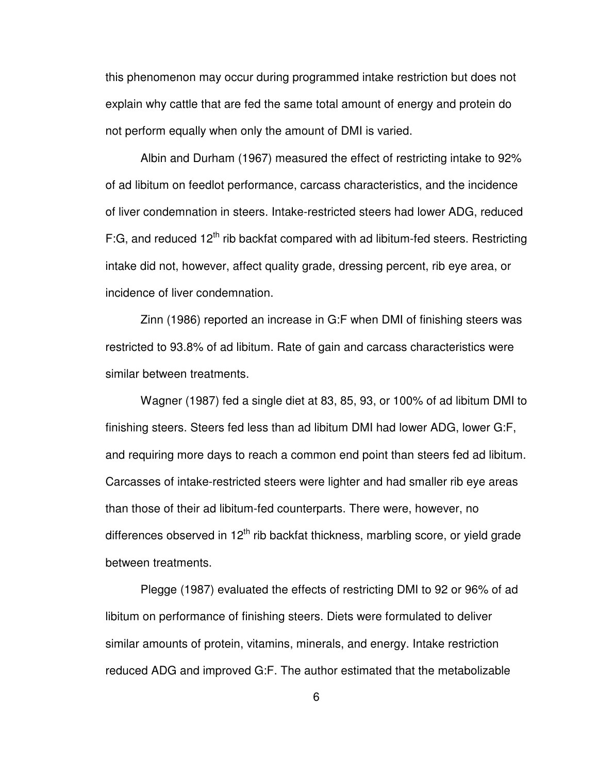this phenomenon may occur during programmed intake restriction but does not explain why cattle that are fed the same total amount of energy and protein do not perform equally when only the amount of DMI is varied.

Albin and Durham (1967) measured the effect of restricting intake to 92% of ad libitum on feedlot performance, carcass characteristics, and the incidence of liver condemnation in steers. Intake-restricted steers had lower ADG, reduced F:G, and reduced  $12<sup>th</sup>$  rib backfat compared with ad libitum-fed steers. Restricting intake did not, however, affect quality grade, dressing percent, rib eye area, or incidence of liver condemnation.

Zinn (1986) reported an increase in G:F when DMI of finishing steers was restricted to 93.8% of ad libitum. Rate of gain and carcass characteristics were similar between treatments.

 Wagner (1987) fed a single diet at 83, 85, 93, or 100% of ad libitum DMI to finishing steers. Steers fed less than ad libitum DMI had lower ADG, lower G:F, and requiring more days to reach a common end point than steers fed ad libitum. Carcasses of intake-restricted steers were lighter and had smaller rib eye areas than those of their ad libitum-fed counterparts. There were, however, no differences observed in  $12<sup>th</sup>$  rib backfat thickness, marbling score, or yield grade between treatments.

Plegge (1987) evaluated the effects of restricting DMI to 92 or 96% of ad libitum on performance of finishing steers. Diets were formulated to deliver similar amounts of protein, vitamins, minerals, and energy. Intake restriction reduced ADG and improved G:F. The author estimated that the metabolizable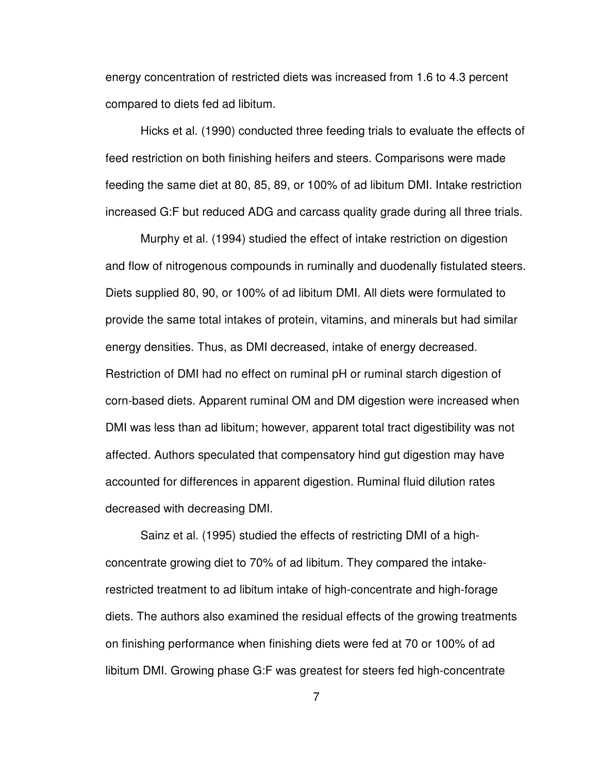energy concentration of restricted diets was increased from 1.6 to 4.3 percent compared to diets fed ad libitum.

Hicks et al. (1990) conducted three feeding trials to evaluate the effects of feed restriction on both finishing heifers and steers. Comparisons were made feeding the same diet at 80, 85, 89, or 100% of ad libitum DMI. Intake restriction increased G:F but reduced ADG and carcass quality grade during all three trials.

Murphy et al. (1994) studied the effect of intake restriction on digestion and flow of nitrogenous compounds in ruminally and duodenally fistulated steers. Diets supplied 80, 90, or 100% of ad libitum DMI. All diets were formulated to provide the same total intakes of protein, vitamins, and minerals but had similar energy densities. Thus, as DMI decreased, intake of energy decreased. Restriction of DMI had no effect on ruminal pH or ruminal starch digestion of corn-based diets. Apparent ruminal OM and DM digestion were increased when DMI was less than ad libitum; however, apparent total tract digestibility was not affected. Authors speculated that compensatory hind gut digestion may have accounted for differences in apparent digestion. Ruminal fluid dilution rates decreased with decreasing DMI.

Sainz et al. (1995) studied the effects of restricting DMI of a highconcentrate growing diet to 70% of ad libitum. They compared the intakerestricted treatment to ad libitum intake of high-concentrate and high-forage diets. The authors also examined the residual effects of the growing treatments on finishing performance when finishing diets were fed at 70 or 100% of ad libitum DMI. Growing phase G:F was greatest for steers fed high-concentrate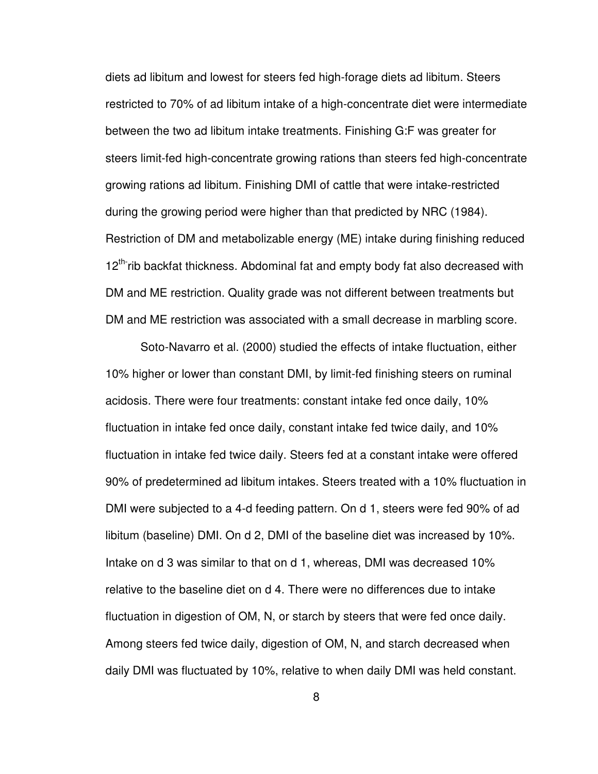diets ad libitum and lowest for steers fed high-forage diets ad libitum. Steers restricted to 70% of ad libitum intake of a high-concentrate diet were intermediate between the two ad libitum intake treatments. Finishing G:F was greater for steers limit-fed high-concentrate growing rations than steers fed high-concentrate growing rations ad libitum. Finishing DMI of cattle that were intake-restricted during the growing period were higher than that predicted by NRC (1984). Restriction of DM and metabolizable energy (ME) intake during finishing reduced 12<sup>th-</sup>rib backfat thickness. Abdominal fat and empty body fat also decreased with DM and ME restriction. Quality grade was not different between treatments but DM and ME restriction was associated with a small decrease in marbling score.

Soto-Navarro et al. (2000) studied the effects of intake fluctuation, either 10% higher or lower than constant DMI, by limit-fed finishing steers on ruminal acidosis. There were four treatments: constant intake fed once daily, 10% fluctuation in intake fed once daily, constant intake fed twice daily, and 10% fluctuation in intake fed twice daily. Steers fed at a constant intake were offered 90% of predetermined ad libitum intakes. Steers treated with a 10% fluctuation in DMI were subjected to a 4-d feeding pattern. On d 1, steers were fed 90% of ad libitum (baseline) DMI. On d 2, DMI of the baseline diet was increased by 10%. Intake on d 3 was similar to that on d 1, whereas, DMI was decreased 10% relative to the baseline diet on d 4. There were no differences due to intake fluctuation in digestion of OM, N, or starch by steers that were fed once daily. Among steers fed twice daily, digestion of OM, N, and starch decreased when daily DMI was fluctuated by 10%, relative to when daily DMI was held constant.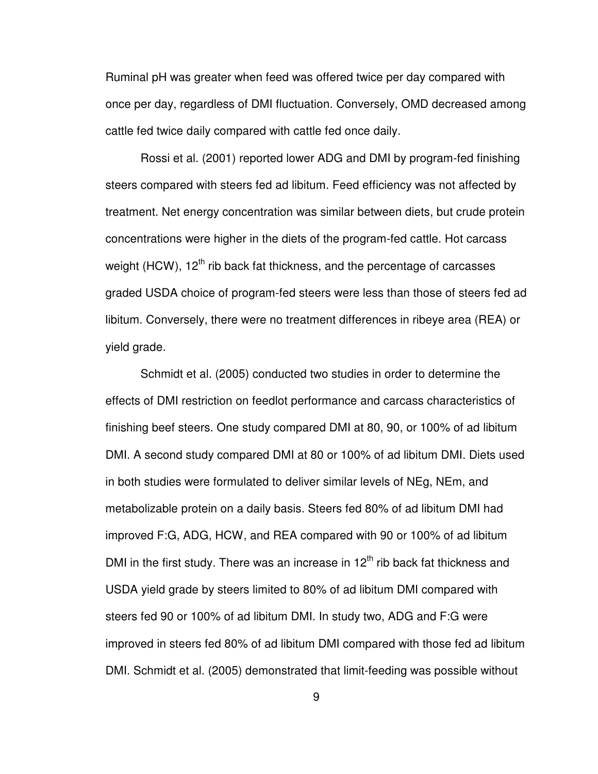Ruminal pH was greater when feed was offered twice per day compared with once per day, regardless of DMI fluctuation. Conversely, OMD decreased among cattle fed twice daily compared with cattle fed once daily.

Rossi et al. (2001) reported lower ADG and DMI by program-fed finishing steers compared with steers fed ad libitum. Feed efficiency was not affected by treatment. Net energy concentration was similar between diets, but crude protein concentrations were higher in the diets of the program-fed cattle. Hot carcass weight (HCW),  $12<sup>th</sup>$  rib back fat thickness, and the percentage of carcasses graded USDA choice of program-fed steers were less than those of steers fed ad libitum. Conversely, there were no treatment differences in ribeye area (REA) or yield grade.

Schmidt et al. (2005) conducted two studies in order to determine the effects of DMI restriction on feedlot performance and carcass characteristics of finishing beef steers. One study compared DMI at 80, 90, or 100% of ad libitum DMI. A second study compared DMI at 80 or 100% of ad libitum DMI. Diets used in both studies were formulated to deliver similar levels of NEg, NEm, and metabolizable protein on a daily basis. Steers fed 80% of ad libitum DMI had improved F:G, ADG, HCW, and REA compared with 90 or 100% of ad libitum DMI in the first study. There was an increase in  $12<sup>th</sup>$  rib back fat thickness and USDA yield grade by steers limited to 80% of ad libitum DMI compared with steers fed 90 or 100% of ad libitum DMI. In study two, ADG and F:G were improved in steers fed 80% of ad libitum DMI compared with those fed ad libitum DMI. Schmidt et al. (2005) demonstrated that limit-feeding was possible without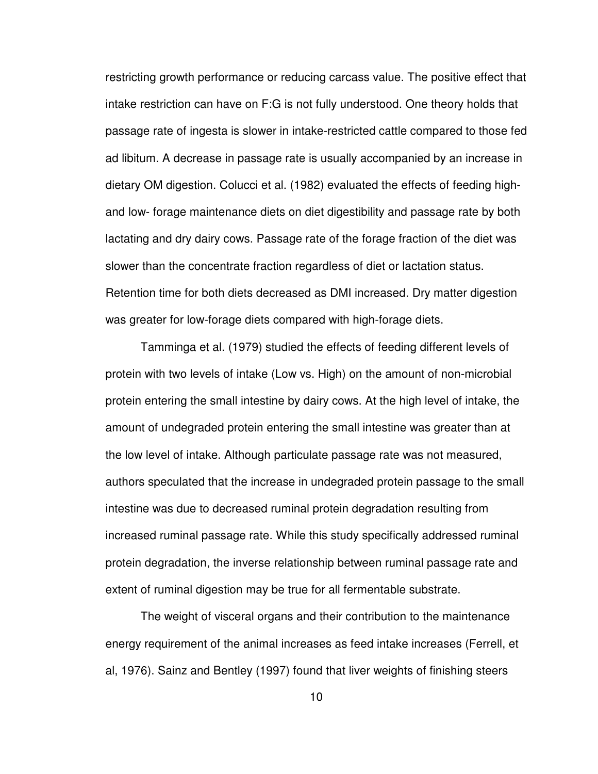restricting growth performance or reducing carcass value. The positive effect that intake restriction can have on F:G is not fully understood. One theory holds that passage rate of ingesta is slower in intake-restricted cattle compared to those fed ad libitum. A decrease in passage rate is usually accompanied by an increase in dietary OM digestion. Colucci et al. (1982) evaluated the effects of feeding highand low- forage maintenance diets on diet digestibility and passage rate by both lactating and dry dairy cows. Passage rate of the forage fraction of the diet was slower than the concentrate fraction regardless of diet or lactation status. Retention time for both diets decreased as DMI increased. Dry matter digestion was greater for low-forage diets compared with high-forage diets.

Tamminga et al. (1979) studied the effects of feeding different levels of protein with two levels of intake (Low vs. High) on the amount of non-microbial protein entering the small intestine by dairy cows. At the high level of intake, the amount of undegraded protein entering the small intestine was greater than at the low level of intake. Although particulate passage rate was not measured, authors speculated that the increase in undegraded protein passage to the small intestine was due to decreased ruminal protein degradation resulting from increased ruminal passage rate. While this study specifically addressed ruminal protein degradation, the inverse relationship between ruminal passage rate and extent of ruminal digestion may be true for all fermentable substrate.

The weight of visceral organs and their contribution to the maintenance energy requirement of the animal increases as feed intake increases (Ferrell, et al, 1976). Sainz and Bentley (1997) found that liver weights of finishing steers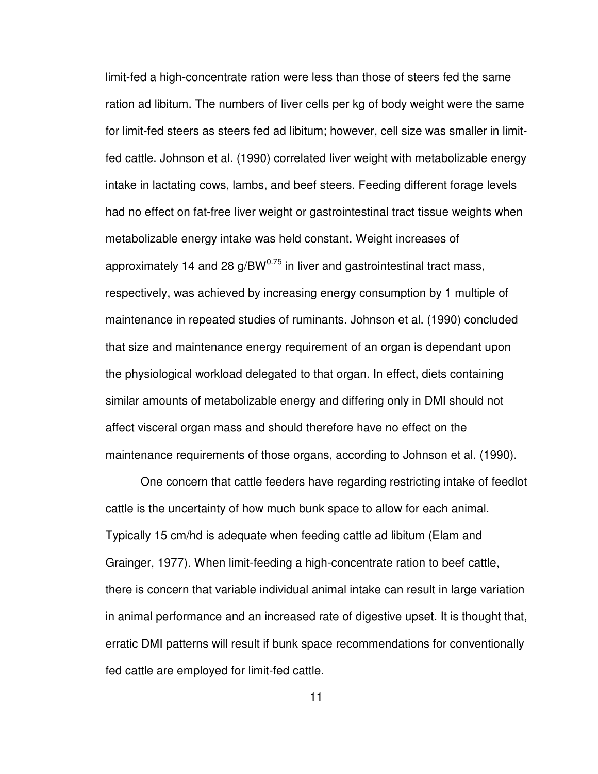limit-fed a high-concentrate ration were less than those of steers fed the same ration ad libitum. The numbers of liver cells per kg of body weight were the same for limit-fed steers as steers fed ad libitum; however, cell size was smaller in limitfed cattle. Johnson et al. (1990) correlated liver weight with metabolizable energy intake in lactating cows, lambs, and beef steers. Feeding different forage levels had no effect on fat-free liver weight or gastrointestinal tract tissue weights when metabolizable energy intake was held constant. Weight increases of approximately 14 and 28  $g/BW^{0.75}$  in liver and gastrointestinal tract mass, respectively, was achieved by increasing energy consumption by 1 multiple of maintenance in repeated studies of ruminants. Johnson et al. (1990) concluded that size and maintenance energy requirement of an organ is dependant upon the physiological workload delegated to that organ. In effect, diets containing similar amounts of metabolizable energy and differing only in DMI should not affect visceral organ mass and should therefore have no effect on the maintenance requirements of those organs, according to Johnson et al. (1990).

One concern that cattle feeders have regarding restricting intake of feedlot cattle is the uncertainty of how much bunk space to allow for each animal. Typically 15 cm/hd is adequate when feeding cattle ad libitum (Elam and Grainger, 1977). When limit-feeding a high-concentrate ration to beef cattle, there is concern that variable individual animal intake can result in large variation in animal performance and an increased rate of digestive upset. It is thought that, erratic DMI patterns will result if bunk space recommendations for conventionally fed cattle are employed for limit-fed cattle.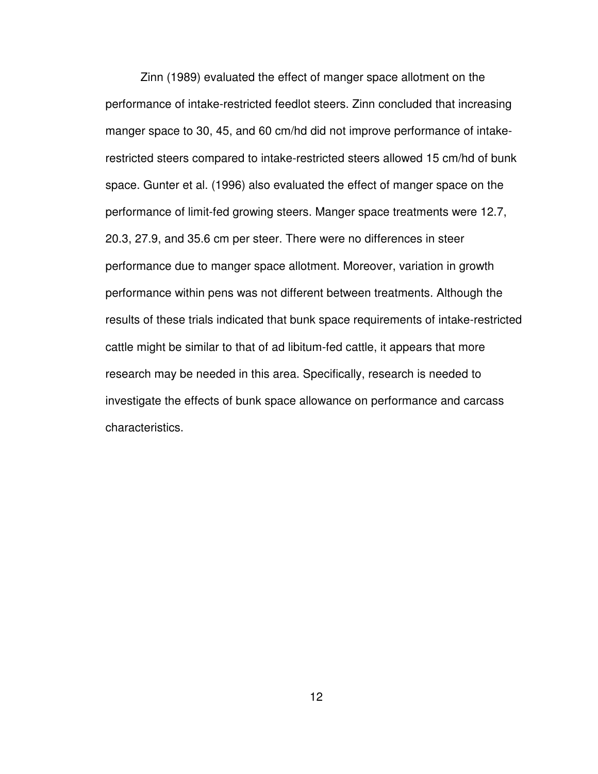Zinn (1989) evaluated the effect of manger space allotment on the performance of intake-restricted feedlot steers. Zinn concluded that increasing manger space to 30, 45, and 60 cm/hd did not improve performance of intakerestricted steers compared to intake-restricted steers allowed 15 cm/hd of bunk space. Gunter et al. (1996) also evaluated the effect of manger space on the performance of limit-fed growing steers. Manger space treatments were 12.7, 20.3, 27.9, and 35.6 cm per steer. There were no differences in steer performance due to manger space allotment. Moreover, variation in growth performance within pens was not different between treatments. Although the results of these trials indicated that bunk space requirements of intake-restricted cattle might be similar to that of ad libitum-fed cattle, it appears that more research may be needed in this area. Specifically, research is needed to investigate the effects of bunk space allowance on performance and carcass characteristics.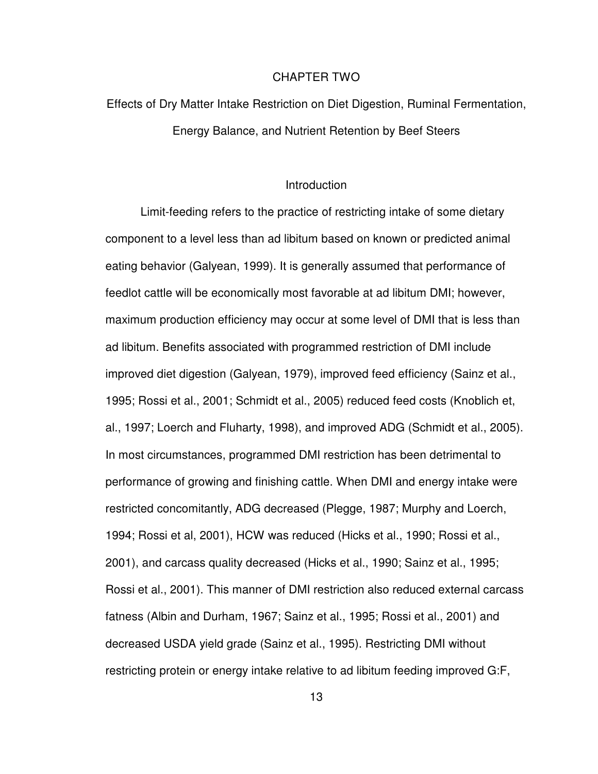#### CHAPTER TWO

# Effects of Dry Matter Intake Restriction on Diet Digestion, Ruminal Fermentation, Energy Balance, and Nutrient Retention by Beef Steers

#### **Introduction**

 Limit-feeding refers to the practice of restricting intake of some dietary component to a level less than ad libitum based on known or predicted animal eating behavior (Galyean, 1999). It is generally assumed that performance of feedlot cattle will be economically most favorable at ad libitum DMI; however, maximum production efficiency may occur at some level of DMI that is less than ad libitum. Benefits associated with programmed restriction of DMI include improved diet digestion (Galyean, 1979), improved feed efficiency (Sainz et al., 1995; Rossi et al., 2001; Schmidt et al., 2005) reduced feed costs (Knoblich et, al., 1997; Loerch and Fluharty, 1998), and improved ADG (Schmidt et al., 2005). In most circumstances, programmed DMI restriction has been detrimental to performance of growing and finishing cattle. When DMI and energy intake were restricted concomitantly, ADG decreased (Plegge, 1987; Murphy and Loerch, 1994; Rossi et al, 2001), HCW was reduced (Hicks et al., 1990; Rossi et al., 2001), and carcass quality decreased (Hicks et al., 1990; Sainz et al., 1995; Rossi et al., 2001). This manner of DMI restriction also reduced external carcass fatness (Albin and Durham, 1967; Sainz et al., 1995; Rossi et al., 2001) and decreased USDA yield grade (Sainz et al., 1995). Restricting DMI without restricting protein or energy intake relative to ad libitum feeding improved G:F,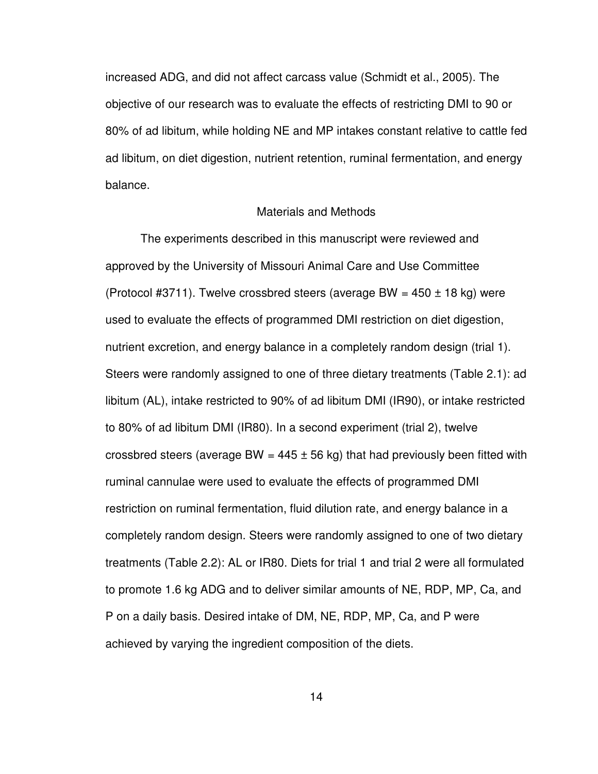increased ADG, and did not affect carcass value (Schmidt et al., 2005). The objective of our research was to evaluate the effects of restricting DMI to 90 or 80% of ad libitum, while holding NE and MP intakes constant relative to cattle fed ad libitum, on diet digestion, nutrient retention, ruminal fermentation, and energy balance.

#### Materials and Methods

The experiments described in this manuscript were reviewed and approved by the University of Missouri Animal Care and Use Committee (Protocol #3711). Twelve crossbred steers (average BW =  $450 \pm 18$  kg) were used to evaluate the effects of programmed DMI restriction on diet digestion, nutrient excretion, and energy balance in a completely random design (trial 1). Steers were randomly assigned to one of three dietary treatments (Table 2.1): ad libitum (AL), intake restricted to 90% of ad libitum DMI (IR90), or intake restricted to 80% of ad libitum DMI (IR80). In a second experiment (trial 2), twelve crossbred steers (average BW =  $445 \pm 56$  kg) that had previously been fitted with ruminal cannulae were used to evaluate the effects of programmed DMI restriction on ruminal fermentation, fluid dilution rate, and energy balance in a completely random design. Steers were randomly assigned to one of two dietary treatments (Table 2.2): AL or IR80. Diets for trial 1 and trial 2 were all formulated to promote 1.6 kg ADG and to deliver similar amounts of NE, RDP, MP, Ca, and P on a daily basis. Desired intake of DM, NE, RDP, MP, Ca, and P were achieved by varying the ingredient composition of the diets.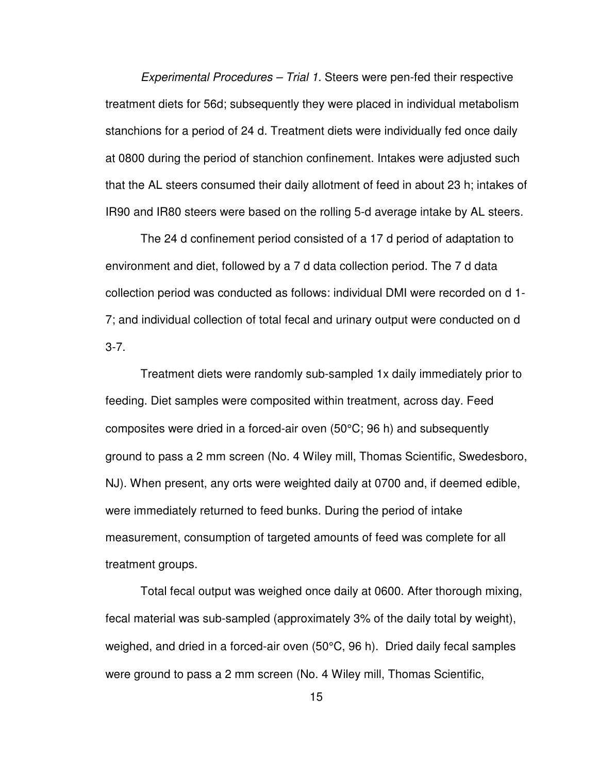Experimental Procedures – Trial 1. Steers were pen-fed their respective treatment diets for 56d; subsequently they were placed in individual metabolism stanchions for a period of 24 d. Treatment diets were individually fed once daily at 0800 during the period of stanchion confinement. Intakes were adjusted such that the AL steers consumed their daily allotment of feed in about 23 h; intakes of IR90 and IR80 steers were based on the rolling 5-d average intake by AL steers.

The 24 d confinement period consisted of a 17 d period of adaptation to environment and diet, followed by a 7 d data collection period. The 7 d data collection period was conducted as follows: individual DMI were recorded on d 1- 7; and individual collection of total fecal and urinary output were conducted on d 3-7.

Treatment diets were randomly sub-sampled 1x daily immediately prior to feeding. Diet samples were composited within treatment, across day. Feed composites were dried in a forced-air oven (50°C; 96 h) and subsequently ground to pass a 2 mm screen (No. 4 Wiley mill, Thomas Scientific, Swedesboro, NJ). When present, any orts were weighted daily at 0700 and, if deemed edible, were immediately returned to feed bunks. During the period of intake measurement, consumption of targeted amounts of feed was complete for all treatment groups.

Total fecal output was weighed once daily at 0600. After thorough mixing, fecal material was sub-sampled (approximately 3% of the daily total by weight), weighed, and dried in a forced-air oven (50°C, 96 h). Dried daily fecal samples were ground to pass a 2 mm screen (No. 4 Wiley mill, Thomas Scientific,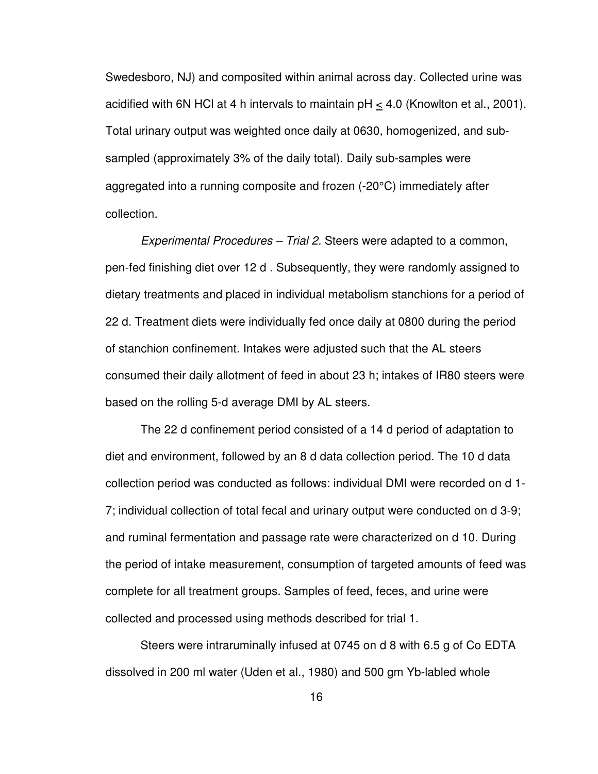Swedesboro, NJ) and composited within animal across day. Collected urine was acidified with 6N HCl at 4 h intervals to maintain pH < 4.0 (Knowlton et al., 2001). Total urinary output was weighted once daily at 0630, homogenized, and subsampled (approximately 3% of the daily total). Daily sub-samples were aggregated into a running composite and frozen (-20°C) immediately after collection.

Experimental Procedures – Trial 2. Steers were adapted to a common, pen-fed finishing diet over 12 d . Subsequently, they were randomly assigned to dietary treatments and placed in individual metabolism stanchions for a period of 22 d. Treatment diets were individually fed once daily at 0800 during the period of stanchion confinement. Intakes were adjusted such that the AL steers consumed their daily allotment of feed in about 23 h; intakes of IR80 steers were based on the rolling 5-d average DMI by AL steers.

The 22 d confinement period consisted of a 14 d period of adaptation to diet and environment, followed by an 8 d data collection period. The 10 d data collection period was conducted as follows: individual DMI were recorded on d 1- 7; individual collection of total fecal and urinary output were conducted on d 3-9; and ruminal fermentation and passage rate were characterized on d 10. During the period of intake measurement, consumption of targeted amounts of feed was complete for all treatment groups. Samples of feed, feces, and urine were collected and processed using methods described for trial 1.

Steers were intraruminally infused at 0745 on d 8 with 6.5 g of Co EDTA dissolved in 200 ml water (Uden et al., 1980) and 500 gm Yb-labled whole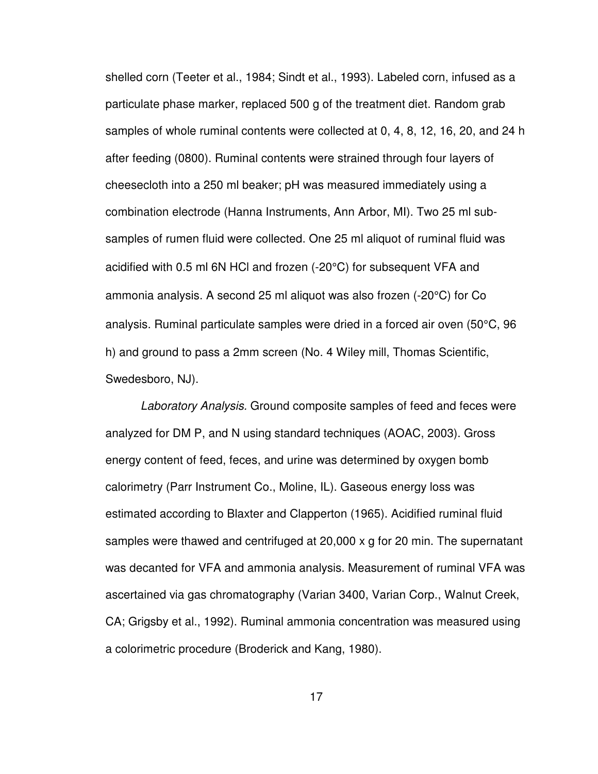shelled corn (Teeter et al., 1984; Sindt et al., 1993). Labeled corn, infused as a particulate phase marker, replaced 500 g of the treatment diet. Random grab samples of whole ruminal contents were collected at 0, 4, 8, 12, 16, 20, and 24 h after feeding (0800). Ruminal contents were strained through four layers of cheesecloth into a 250 ml beaker; pH was measured immediately using a combination electrode (Hanna Instruments, Ann Arbor, MI). Two 25 ml subsamples of rumen fluid were collected. One 25 ml aliquot of ruminal fluid was acidified with 0.5 ml 6N HCl and frozen (-20°C) for subsequent VFA and ammonia analysis. A second 25 ml aliquot was also frozen (-20°C) for Co analysis. Ruminal particulate samples were dried in a forced air oven (50°C, 96 h) and ground to pass a 2mm screen (No. 4 Wiley mill, Thomas Scientific, Swedesboro, NJ).

Laboratory Analysis. Ground composite samples of feed and feces were analyzed for DM P, and N using standard techniques (AOAC, 2003). Gross energy content of feed, feces, and urine was determined by oxygen bomb calorimetry (Parr Instrument Co., Moline, IL). Gaseous energy loss was estimated according to Blaxter and Clapperton (1965). Acidified ruminal fluid samples were thawed and centrifuged at 20,000 x g for 20 min. The supernatant was decanted for VFA and ammonia analysis. Measurement of ruminal VFA was ascertained via gas chromatography (Varian 3400, Varian Corp., Walnut Creek, CA; Grigsby et al., 1992). Ruminal ammonia concentration was measured using a colorimetric procedure (Broderick and Kang, 1980).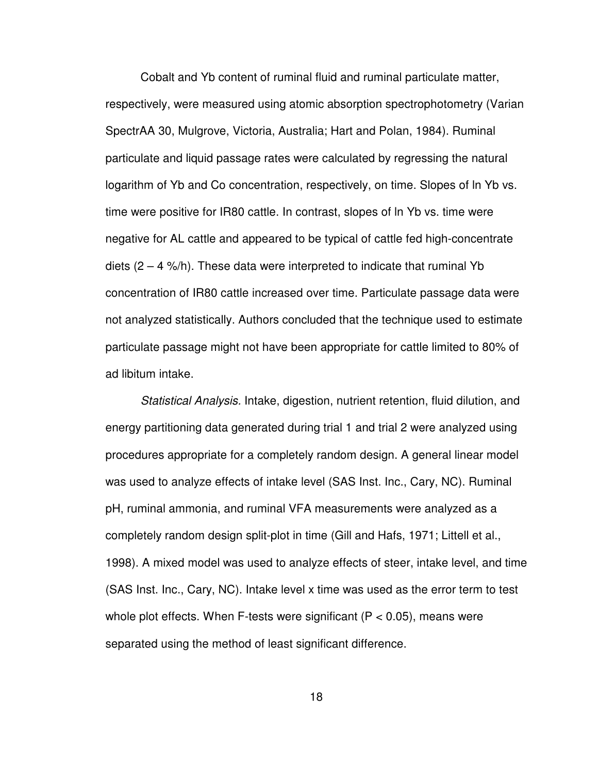Cobalt and Yb content of ruminal fluid and ruminal particulate matter, respectively, were measured using atomic absorption spectrophotometry (Varian SpectrAA 30, Mulgrove, Victoria, Australia; Hart and Polan, 1984). Ruminal particulate and liquid passage rates were calculated by regressing the natural logarithm of Yb and Co concentration, respectively, on time. Slopes of ln Yb vs. time were positive for IR80 cattle. In contrast, slopes of ln Yb vs. time were negative for AL cattle and appeared to be typical of cattle fed high-concentrate diets  $(2 - 4 \frac{\sqrt{h}}{h})$ . These data were interpreted to indicate that ruminal Yb concentration of IR80 cattle increased over time. Particulate passage data were not analyzed statistically. Authors concluded that the technique used to estimate particulate passage might not have been appropriate for cattle limited to 80% of ad libitum intake.

Statistical Analysis. Intake, digestion, nutrient retention, fluid dilution, and energy partitioning data generated during trial 1 and trial 2 were analyzed using procedures appropriate for a completely random design. A general linear model was used to analyze effects of intake level (SAS Inst. Inc., Cary, NC). Ruminal pH, ruminal ammonia, and ruminal VFA measurements were analyzed as a completely random design split-plot in time (Gill and Hafs, 1971; Littell et al., 1998). A mixed model was used to analyze effects of steer, intake level, and time (SAS Inst. Inc., Cary, NC). Intake level x time was used as the error term to test whole plot effects. When F-tests were significant ( $P < 0.05$ ), means were separated using the method of least significant difference.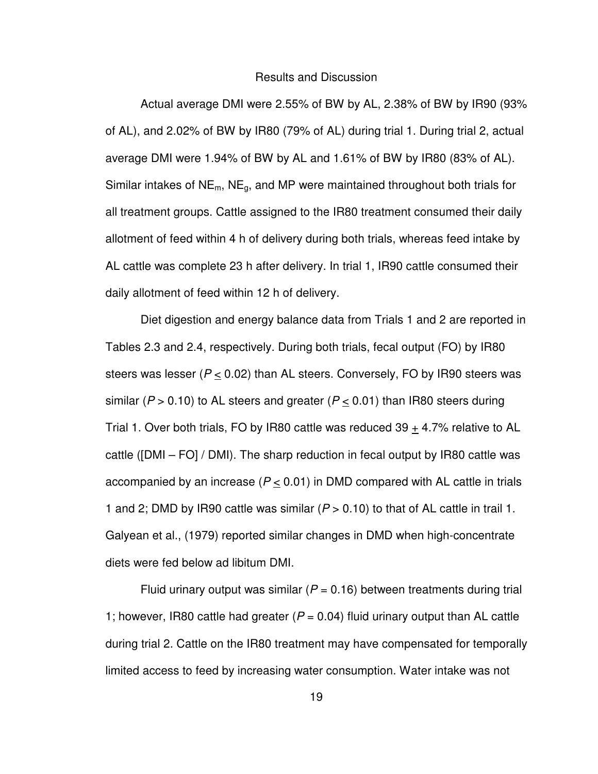#### Results and Discussion

Actual average DMI were 2.55% of BW by AL, 2.38% of BW by IR90 (93% of AL), and 2.02% of BW by IR80 (79% of AL) during trial 1. During trial 2, actual average DMI were 1.94% of BW by AL and 1.61% of BW by IR80 (83% of AL). Similar intakes of  $NE<sub>m</sub>$ , NE<sub>g</sub>, and MP were maintained throughout both trials for all treatment groups. Cattle assigned to the IR80 treatment consumed their daily allotment of feed within 4 h of delivery during both trials, whereas feed intake by AL cattle was complete 23 h after delivery. In trial 1, IR90 cattle consumed their daily allotment of feed within 12 h of delivery.

Diet digestion and energy balance data from Trials 1 and 2 are reported in Tables 2.3 and 2.4, respectively. During both trials, fecal output (FO) by IR80 steers was lesser ( $P < 0.02$ ) than AL steers. Conversely, FO by IR90 steers was similar ( $P > 0.10$ ) to AL steers and greater ( $P \le 0.01$ ) than IR80 steers during Trial 1. Over both trials, FO by IR80 cattle was reduced  $39 + 4.7\%$  relative to AL cattle ([DMI – FO] / DMI). The sharp reduction in fecal output by IR80 cattle was accompanied by an increase ( $P < 0.01$ ) in DMD compared with AL cattle in trials 1 and 2; DMD by IR90 cattle was similar  $(P > 0.10)$  to that of AL cattle in trail 1. Galyean et al., (1979) reported similar changes in DMD when high-concentrate diets were fed below ad libitum DMI.

Fluid urinary output was similar ( $P = 0.16$ ) between treatments during trial 1; however, IR80 cattle had greater ( $P = 0.04$ ) fluid urinary output than AL cattle during trial 2. Cattle on the IR80 treatment may have compensated for temporally limited access to feed by increasing water consumption. Water intake was not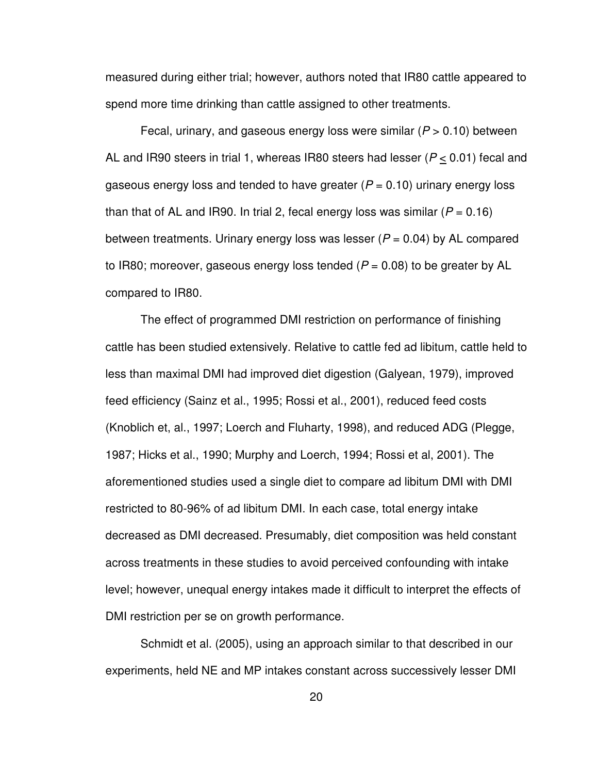measured during either trial; however, authors noted that IR80 cattle appeared to spend more time drinking than cattle assigned to other treatments.

Fecal, urinary, and gaseous energy loss were similar ( $P > 0.10$ ) between AL and IR90 steers in trial 1, whereas IR80 steers had lesser ( $P \le 0.01$ ) fecal and gaseous energy loss and tended to have greater ( $P = 0.10$ ) urinary energy loss than that of AL and IR90. In trial 2, fecal energy loss was similar ( $P = 0.16$ ) between treatments. Urinary energy loss was lesser  $(P = 0.04)$  by AL compared to IR80; moreover, gaseous energy loss tended ( $P = 0.08$ ) to be greater by AL compared to IR80.

The effect of programmed DMI restriction on performance of finishing cattle has been studied extensively. Relative to cattle fed ad libitum, cattle held to less than maximal DMI had improved diet digestion (Galyean, 1979), improved feed efficiency (Sainz et al., 1995; Rossi et al., 2001), reduced feed costs (Knoblich et, al., 1997; Loerch and Fluharty, 1998), and reduced ADG (Plegge, 1987; Hicks et al., 1990; Murphy and Loerch, 1994; Rossi et al, 2001). The aforementioned studies used a single diet to compare ad libitum DMI with DMI restricted to 80-96% of ad libitum DMI. In each case, total energy intake decreased as DMI decreased. Presumably, diet composition was held constant across treatments in these studies to avoid perceived confounding with intake level; however, unequal energy intakes made it difficult to interpret the effects of DMI restriction per se on growth performance.

Schmidt et al. (2005), using an approach similar to that described in our experiments, held NE and MP intakes constant across successively lesser DMI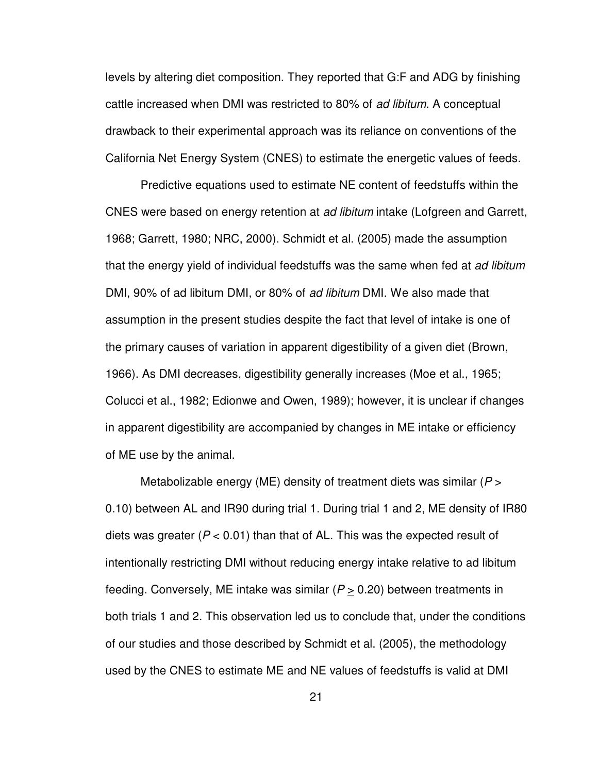levels by altering diet composition. They reported that G:F and ADG by finishing cattle increased when DMI was restricted to 80% of ad libitum. A conceptual drawback to their experimental approach was its reliance on conventions of the California Net Energy System (CNES) to estimate the energetic values of feeds.

Predictive equations used to estimate NE content of feedstuffs within the CNES were based on energy retention at *ad libitum* intake (Lofgreen and Garrett, 1968; Garrett, 1980; NRC, 2000). Schmidt et al. (2005) made the assumption that the energy yield of individual feedstuffs was the same when fed at ad libitum DMI, 90% of ad libitum DMI, or 80% of ad libitum DMI. We also made that assumption in the present studies despite the fact that level of intake is one of the primary causes of variation in apparent digestibility of a given diet (Brown, 1966). As DMI decreases, digestibility generally increases (Moe et al., 1965; Colucci et al., 1982; Edionwe and Owen, 1989); however, it is unclear if changes in apparent digestibility are accompanied by changes in ME intake or efficiency of ME use by the animal.

Metabolizable energy (ME) density of treatment diets was similar ( $P >$ 0.10) between AL and IR90 during trial 1. During trial 1 and 2, ME density of IR80 diets was greater ( $P < 0.01$ ) than that of AL. This was the expected result of intentionally restricting DMI without reducing energy intake relative to ad libitum feeding. Conversely, ME intake was similar ( $P \ge 0.20$ ) between treatments in both trials 1 and 2. This observation led us to conclude that, under the conditions of our studies and those described by Schmidt et al. (2005), the methodology used by the CNES to estimate ME and NE values of feedstuffs is valid at DMI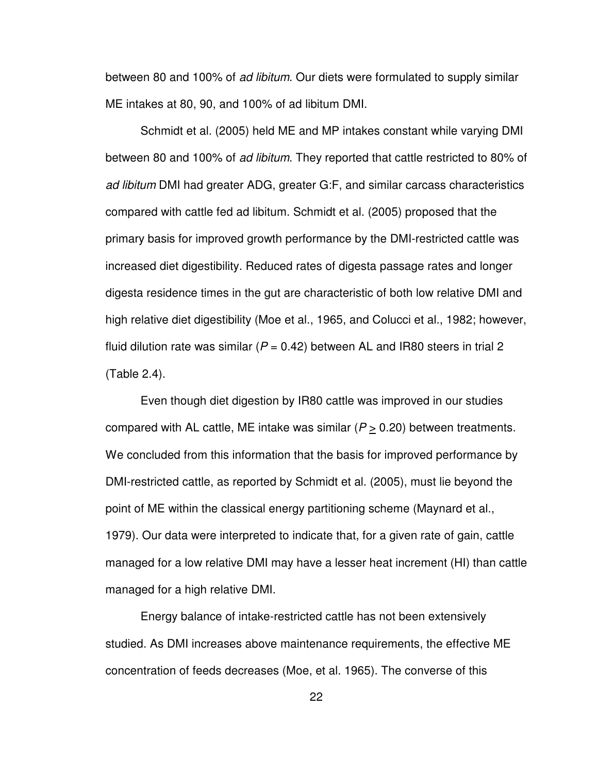between 80 and 100% of ad libitum. Our diets were formulated to supply similar ME intakes at 80, 90, and 100% of ad libitum DMI.

Schmidt et al. (2005) held ME and MP intakes constant while varying DMI between 80 and 100% of ad libitum. They reported that cattle restricted to 80% of ad libitum DMI had greater ADG, greater G:F, and similar carcass characteristics compared with cattle fed ad libitum. Schmidt et al. (2005) proposed that the primary basis for improved growth performance by the DMI-restricted cattle was increased diet digestibility. Reduced rates of digesta passage rates and longer digesta residence times in the gut are characteristic of both low relative DMI and high relative diet digestibility (Moe et al., 1965, and Colucci et al., 1982; however, fluid dilution rate was similar ( $P = 0.42$ ) between AL and IR80 steers in trial 2 (Table 2.4).

Even though diet digestion by IR80 cattle was improved in our studies compared with AL cattle, ME intake was similar ( $P \ge 0.20$ ) between treatments. We concluded from this information that the basis for improved performance by DMI-restricted cattle, as reported by Schmidt et al. (2005), must lie beyond the point of ME within the classical energy partitioning scheme (Maynard et al., 1979). Our data were interpreted to indicate that, for a given rate of gain, cattle managed for a low relative DMI may have a lesser heat increment (HI) than cattle managed for a high relative DMI.

Energy balance of intake-restricted cattle has not been extensively studied. As DMI increases above maintenance requirements, the effective ME concentration of feeds decreases (Moe, et al. 1965). The converse of this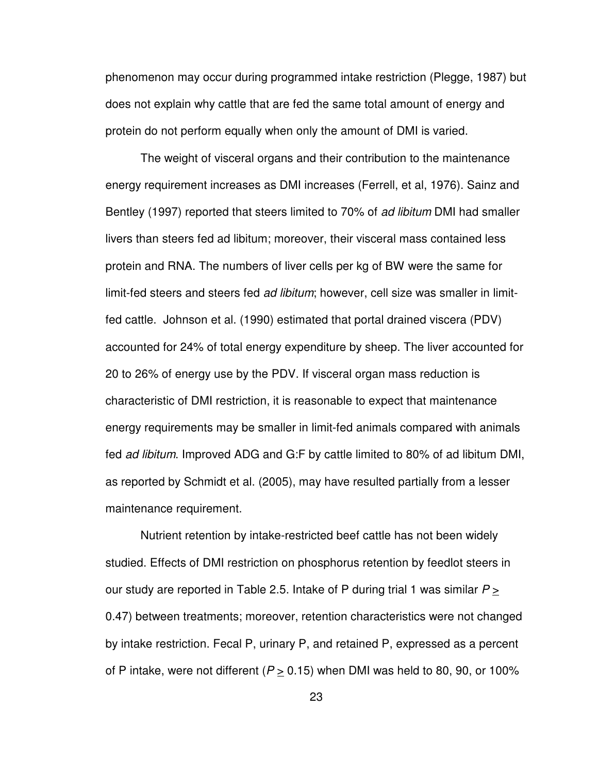phenomenon may occur during programmed intake restriction (Plegge, 1987) but does not explain why cattle that are fed the same total amount of energy and protein do not perform equally when only the amount of DMI is varied.

The weight of visceral organs and their contribution to the maintenance energy requirement increases as DMI increases (Ferrell, et al, 1976). Sainz and Bentley (1997) reported that steers limited to 70% of *ad libitum* DMI had smaller livers than steers fed ad libitum; moreover, their visceral mass contained less protein and RNA. The numbers of liver cells per kg of BW were the same for limit-fed steers and steers fed *ad libitum*; however, cell size was smaller in limitfed cattle. Johnson et al. (1990) estimated that portal drained viscera (PDV) accounted for 24% of total energy expenditure by sheep. The liver accounted for 20 to 26% of energy use by the PDV. If visceral organ mass reduction is characteristic of DMI restriction, it is reasonable to expect that maintenance energy requirements may be smaller in limit-fed animals compared with animals fed ad libitum. Improved ADG and G:F by cattle limited to 80% of ad libitum DMI, as reported by Schmidt et al. (2005), may have resulted partially from a lesser maintenance requirement.

Nutrient retention by intake-restricted beef cattle has not been widely studied. Effects of DMI restriction on phosphorus retention by feedlot steers in our study are reported in Table 2.5. Intake of P during trial 1 was similar  $P \geq$ 0.47) between treatments; moreover, retention characteristics were not changed by intake restriction. Fecal P, urinary P, and retained P, expressed as a percent of P intake, were not different ( $P \ge 0.15$ ) when DMI was held to 80, 90, or 100%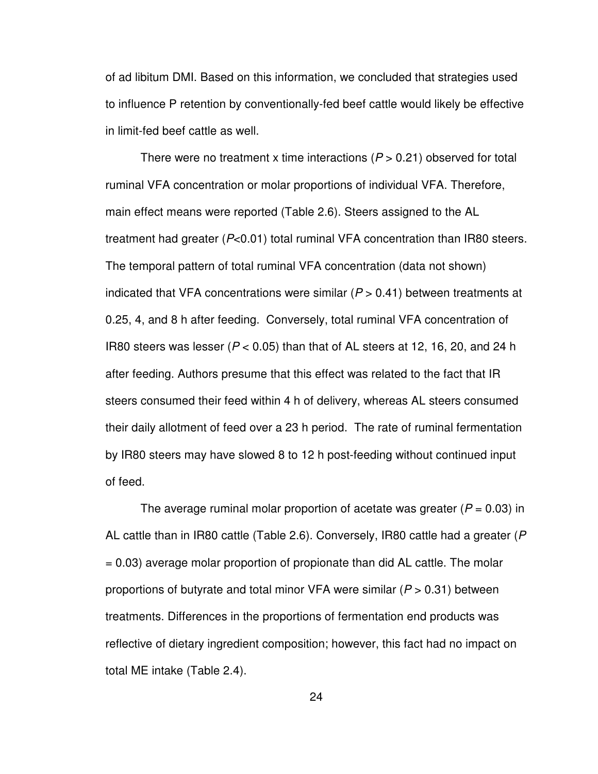of ad libitum DMI. Based on this information, we concluded that strategies used to influence P retention by conventionally-fed beef cattle would likely be effective in limit-fed beef cattle as well.

There were no treatment x time interactions ( $P > 0.21$ ) observed for total ruminal VFA concentration or molar proportions of individual VFA. Therefore, main effect means were reported (Table 2.6). Steers assigned to the AL treatment had greater (P<0.01) total ruminal VFA concentration than IR80 steers. The temporal pattern of total ruminal VFA concentration (data not shown) indicated that VFA concentrations were similar ( $P > 0.41$ ) between treatments at 0.25, 4, and 8 h after feeding. Conversely, total ruminal VFA concentration of IR80 steers was lesser ( $P < 0.05$ ) than that of AL steers at 12, 16, 20, and 24 h after feeding. Authors presume that this effect was related to the fact that IR steers consumed their feed within 4 h of delivery, whereas AL steers consumed their daily allotment of feed over a 23 h period. The rate of ruminal fermentation by IR80 steers may have slowed 8 to 12 h post-feeding without continued input of feed.

The average ruminal molar proportion of acetate was greater ( $P = 0.03$ ) in AL cattle than in IR80 cattle (Table 2.6). Conversely, IR80 cattle had a greater (P = 0.03) average molar proportion of propionate than did AL cattle. The molar proportions of butyrate and total minor VFA were similar ( $P > 0.31$ ) between treatments. Differences in the proportions of fermentation end products was reflective of dietary ingredient composition; however, this fact had no impact on total ME intake (Table 2.4).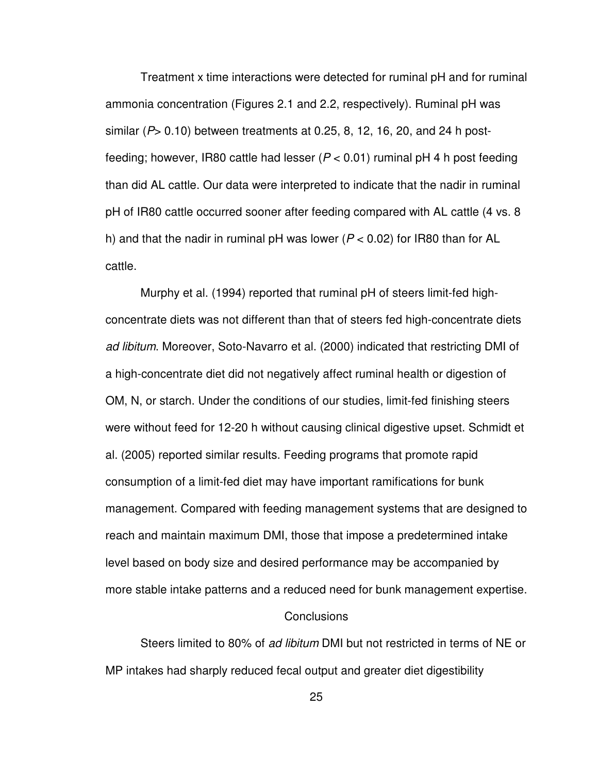Treatment x time interactions were detected for ruminal pH and for ruminal ammonia concentration (Figures 2.1 and 2.2, respectively). Ruminal pH was similar ( $P$  > 0.10) between treatments at 0.25, 8, 12, 16, 20, and 24 h postfeeding; however, IR80 cattle had lesser ( $P < 0.01$ ) ruminal pH 4 h post feeding than did AL cattle. Our data were interpreted to indicate that the nadir in ruminal pH of IR80 cattle occurred sooner after feeding compared with AL cattle (4 vs. 8 h) and that the nadir in ruminal pH was lower ( $P < 0.02$ ) for IR80 than for AL cattle.

Murphy et al. (1994) reported that ruminal pH of steers limit-fed highconcentrate diets was not different than that of steers fed high-concentrate diets ad libitum. Moreover, Soto-Navarro et al. (2000) indicated that restricting DMI of a high-concentrate diet did not negatively affect ruminal health or digestion of OM, N, or starch. Under the conditions of our studies, limit-fed finishing steers were without feed for 12-20 h without causing clinical digestive upset. Schmidt et al. (2005) reported similar results. Feeding programs that promote rapid consumption of a limit-fed diet may have important ramifications for bunk management. Compared with feeding management systems that are designed to reach and maintain maximum DMI, those that impose a predetermined intake level based on body size and desired performance may be accompanied by more stable intake patterns and a reduced need for bunk management expertise.

#### Conclusions

Steers limited to 80% of ad libitum DMI but not restricted in terms of NE or MP intakes had sharply reduced fecal output and greater diet digestibility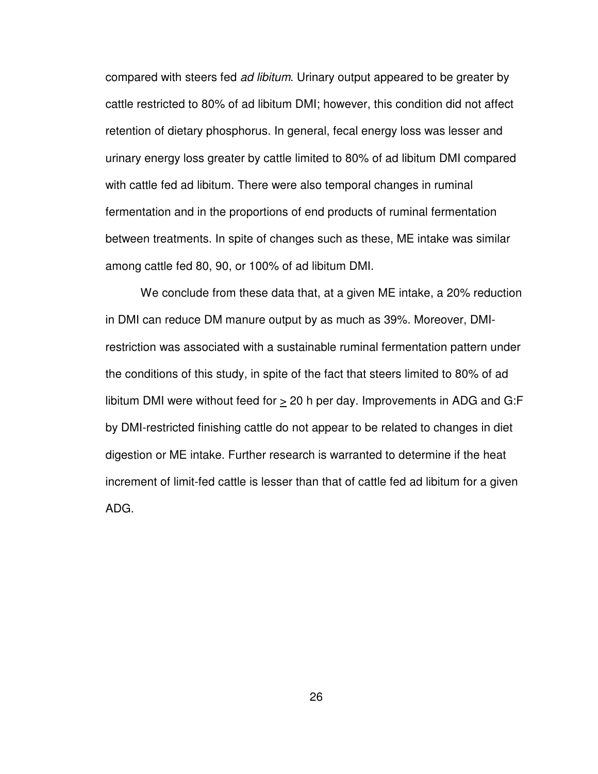compared with steers fed ad libitum. Urinary output appeared to be greater by cattle restricted to 80% of ad libitum DMI; however, this condition did not affect retention of dietary phosphorus. In general, fecal energy loss was lesser and urinary energy loss greater by cattle limited to 80% of ad libitum DMI compared with cattle fed ad libitum. There were also temporal changes in ruminal fermentation and in the proportions of end products of ruminal fermentation between treatments. In spite of changes such as these, ME intake was similar among cattle fed 80, 90, or 100% of ad libitum DMI.

 We conclude from these data that, at a given ME intake, a 20% reduction in DMI can reduce DM manure output by as much as 39%. Moreover, DMIrestriction was associated with a sustainable ruminal fermentation pattern under the conditions of this study, in spite of the fact that steers limited to 80% of ad libitum DMI were without feed for  $\geq 20$  h per day. Improvements in ADG and G:F by DMI-restricted finishing cattle do not appear to be related to changes in diet digestion or ME intake. Further research is warranted to determine if the heat increment of limit-fed cattle is lesser than that of cattle fed ad libitum for a given ADG.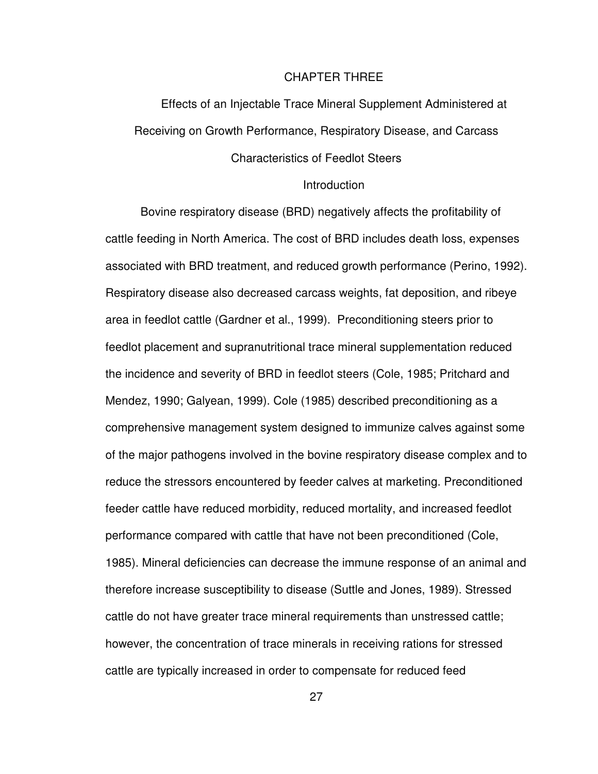#### CHAPTER THREE

Effects of an Injectable Trace Mineral Supplement Administered at Receiving on Growth Performance, Respiratory Disease, and Carcass Characteristics of Feedlot Steers

#### **Introduction**

Bovine respiratory disease (BRD) negatively affects the profitability of cattle feeding in North America. The cost of BRD includes death loss, expenses associated with BRD treatment, and reduced growth performance (Perino, 1992). Respiratory disease also decreased carcass weights, fat deposition, and ribeye area in feedlot cattle (Gardner et al., 1999). Preconditioning steers prior to feedlot placement and supranutritional trace mineral supplementation reduced the incidence and severity of BRD in feedlot steers (Cole, 1985; Pritchard and Mendez, 1990; Galyean, 1999). Cole (1985) described preconditioning as a comprehensive management system designed to immunize calves against some of the major pathogens involved in the bovine respiratory disease complex and to reduce the stressors encountered by feeder calves at marketing. Preconditioned feeder cattle have reduced morbidity, reduced mortality, and increased feedlot performance compared with cattle that have not been preconditioned (Cole, 1985). Mineral deficiencies can decrease the immune response of an animal and therefore increase susceptibility to disease (Suttle and Jones, 1989). Stressed cattle do not have greater trace mineral requirements than unstressed cattle; however, the concentration of trace minerals in receiving rations for stressed cattle are typically increased in order to compensate for reduced feed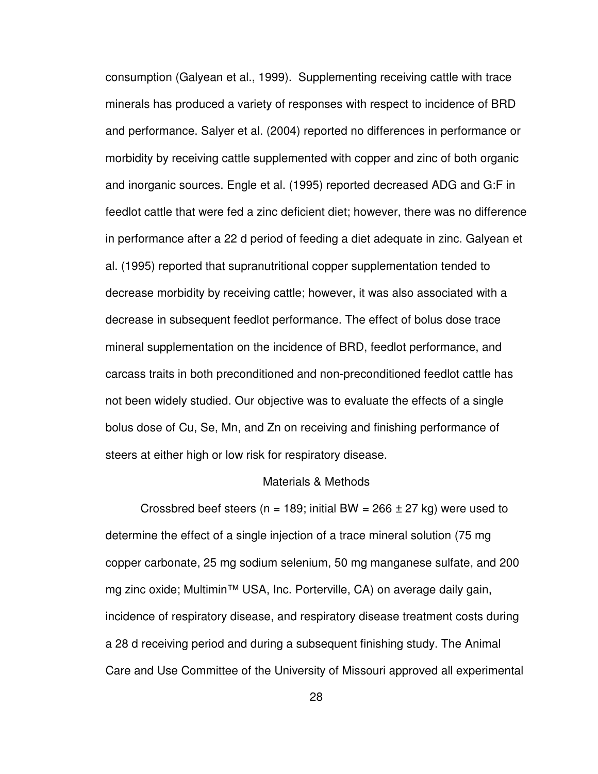consumption (Galyean et al., 1999). Supplementing receiving cattle with trace minerals has produced a variety of responses with respect to incidence of BRD and performance. Salyer et al. (2004) reported no differences in performance or morbidity by receiving cattle supplemented with copper and zinc of both organic and inorganic sources. Engle et al. (1995) reported decreased ADG and G:F in feedlot cattle that were fed a zinc deficient diet; however, there was no difference in performance after a 22 d period of feeding a diet adequate in zinc. Galyean et al. (1995) reported that supranutritional copper supplementation tended to decrease morbidity by receiving cattle; however, it was also associated with a decrease in subsequent feedlot performance. The effect of bolus dose trace mineral supplementation on the incidence of BRD, feedlot performance, and carcass traits in both preconditioned and non-preconditioned feedlot cattle has not been widely studied. Our objective was to evaluate the effects of a single bolus dose of Cu, Se, Mn, and Zn on receiving and finishing performance of steers at either high or low risk for respiratory disease.

#### Materials & Methods

Crossbred beef steers ( $n = 189$ ; initial BW = 266  $\pm$  27 kg) were used to determine the effect of a single injection of a trace mineral solution (75 mg copper carbonate, 25 mg sodium selenium, 50 mg manganese sulfate, and 200 mg zinc oxide; Multimin™ USA, Inc. Porterville, CA) on average daily gain, incidence of respiratory disease, and respiratory disease treatment costs during a 28 d receiving period and during a subsequent finishing study. The Animal Care and Use Committee of the University of Missouri approved all experimental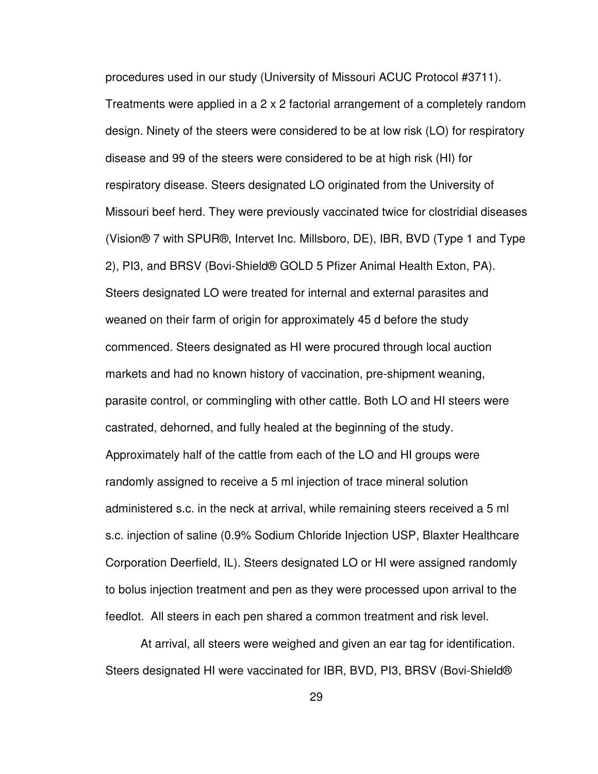procedures used in our study (University of Missouri ACUC Protocol #3711). Treatments were applied in a 2 x 2 factorial arrangement of a completely random design. Ninety of the steers were considered to be at low risk (LO) for respiratory disease and 99 of the steers were considered to be at high risk (HI) for respiratory disease. Steers designated LO originated from the University of Missouri beef herd. They were previously vaccinated twice for clostridial diseases (Vision® 7 with SPUR®, Intervet Inc. Millsboro, DE), IBR, BVD (Type 1 and Type 2), PI3, and BRSV (Bovi-Shield® GOLD 5 Pfizer Animal Health Exton, PA). Steers designated LO were treated for internal and external parasites and weaned on their farm of origin for approximately 45 d before the study commenced. Steers designated as HI were procured through local auction markets and had no known history of vaccination, pre-shipment weaning, parasite control, or commingling with other cattle. Both LO and HI steers were castrated, dehorned, and fully healed at the beginning of the study. Approximately half of the cattle from each of the LO and HI groups were randomly assigned to receive a 5 ml injection of trace mineral solution administered s.c. in the neck at arrival, while remaining steers received a 5 ml s.c. injection of saline (0.9% Sodium Chloride Injection USP, Blaxter Healthcare Corporation Deerfield, IL). Steers designated LO or HI were assigned randomly to bolus injection treatment and pen as they were processed upon arrival to the feedlot. All steers in each pen shared a common treatment and risk level.

At arrival, all steers were weighed and given an ear tag for identification. Steers designated HI were vaccinated for IBR, BVD, PI3, BRSV (Bovi-Shield®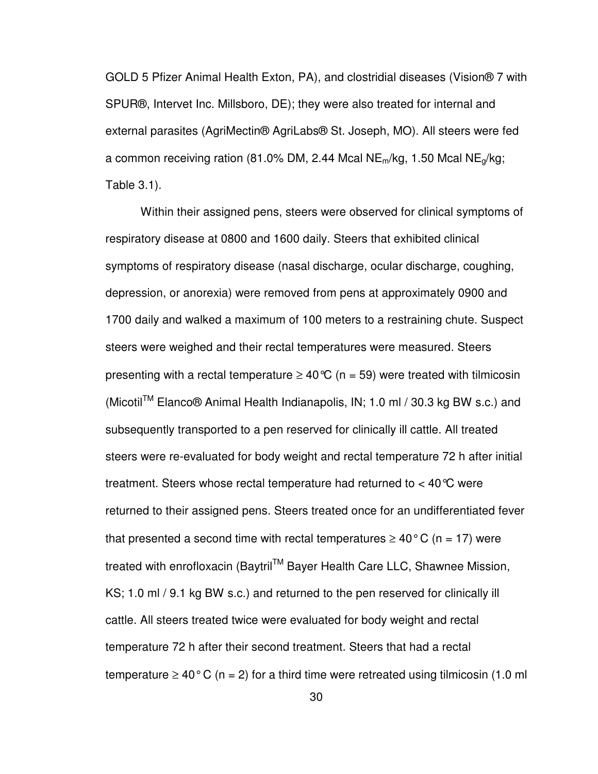GOLD 5 Pfizer Animal Health Exton, PA), and clostridial diseases (Vision® 7 with SPUR®, Intervet Inc. Millsboro, DE); they were also treated for internal and external parasites (AgriMectin® AgriLabs® St. Joseph, MO). All steers were fed a common receiving ration (81.0% DM, 2.44 Mcal NE<sub>m</sub>/kg, 1.50 Mcal NE<sub>q</sub>/kg; Table 3.1).

Within their assigned pens, steers were observed for clinical symptoms of respiratory disease at 0800 and 1600 daily. Steers that exhibited clinical symptoms of respiratory disease (nasal discharge, ocular discharge, coughing, depression, or anorexia) were removed from pens at approximately 0900 and 1700 daily and walked a maximum of 100 meters to a restraining chute. Suspect steers were weighed and their rectal temperatures were measured. Steers presenting with a rectal temperature  $\geq 40^{\circ}C$  (n = 59) were treated with tilmicosin (Micotil<sup>TM</sup> Elanco<sup>®</sup> Animal Health Indianapolis, IN; 1.0 ml / 30.3 kg BW s.c.) and subsequently transported to a pen reserved for clinically ill cattle. All treated steers were re-evaluated for body weight and rectal temperature 72 h after initial treatment. Steers whose rectal temperature had returned to  $<$  40 °C were returned to their assigned pens. Steers treated once for an undifferentiated fever that presented a second time with rectal temperatures  $\geq 40^{\circ}$  C (n = 17) were treated with enrofloxacin (Baytril™ Bayer Health Care LLC, Shawnee Mission, KS; 1.0 ml / 9.1 kg BW s.c.) and returned to the pen reserved for clinically ill cattle. All steers treated twice were evaluated for body weight and rectal temperature 72 h after their second treatment. Steers that had a rectal temperature  $\geq 40^{\circ}$  C (n = 2) for a third time were retreated using tilmicosin (1.0 ml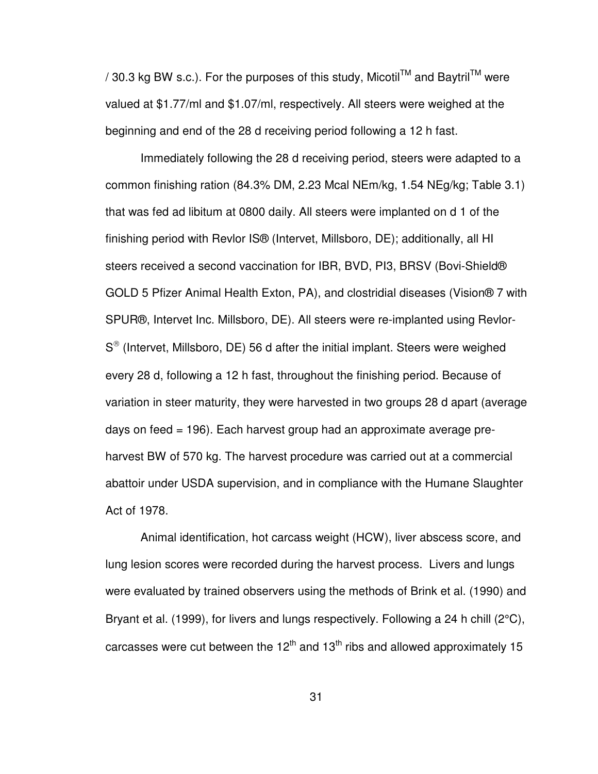/ 30.3 kg BW s.c.). For the purposes of this study, Micotil<sup>TM</sup> and Baytril<sup>TM</sup> were valued at \$1.77/ml and \$1.07/ml, respectively. All steers were weighed at the beginning and end of the 28 d receiving period following a 12 h fast.

Immediately following the 28 d receiving period, steers were adapted to a common finishing ration (84.3% DM, 2.23 Mcal NEm/kg, 1.54 NEg/kg; Table 3.1) that was fed ad libitum at 0800 daily. All steers were implanted on d 1 of the finishing period with Revlor IS® (Intervet, Millsboro, DE); additionally, all HI steers received a second vaccination for IBR, BVD, PI3, BRSV (Bovi-Shield® GOLD 5 Pfizer Animal Health Exton, PA), and clostridial diseases (Vision® 7 with SPUR®, Intervet Inc. Millsboro, DE). All steers were re-implanted using Revlor-S<sup>®</sup> (Intervet, Millsboro, DE) 56 d after the initial implant. Steers were weighed every 28 d, following a 12 h fast, throughout the finishing period. Because of variation in steer maturity, they were harvested in two groups 28 d apart (average days on feed = 196). Each harvest group had an approximate average preharvest BW of 570 kg. The harvest procedure was carried out at a commercial abattoir under USDA supervision, and in compliance with the Humane Slaughter Act of 1978.

Animal identification, hot carcass weight (HCW), liver abscess score, and lung lesion scores were recorded during the harvest process. Livers and lungs were evaluated by trained observers using the methods of Brink et al. (1990) and Bryant et al. (1999), for livers and lungs respectively. Following a 24 h chill (2°C), carcasses were cut between the 12<sup>th</sup> and 13<sup>th</sup> ribs and allowed approximately 15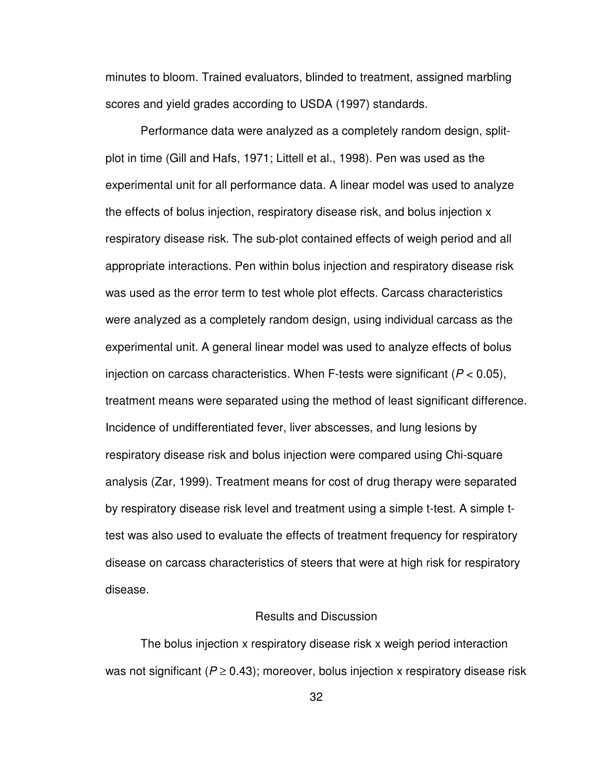minutes to bloom. Trained evaluators, blinded to treatment, assigned marbling scores and yield grades according to USDA (1997) standards.

Performance data were analyzed as a completely random design, splitplot in time (Gill and Hafs, 1971; Littell et al., 1998). Pen was used as the experimental unit for all performance data. A linear model was used to analyze the effects of bolus injection, respiratory disease risk, and bolus injection x respiratory disease risk. The sub-plot contained effects of weigh period and all appropriate interactions. Pen within bolus injection and respiratory disease risk was used as the error term to test whole plot effects. Carcass characteristics were analyzed as a completely random design, using individual carcass as the experimental unit. A general linear model was used to analyze effects of bolus injection on carcass characteristics. When F-tests were significant ( $P < 0.05$ ), treatment means were separated using the method of least significant difference. Incidence of undifferentiated fever, liver abscesses, and lung lesions by respiratory disease risk and bolus injection were compared using Chi-square analysis (Zar, 1999). Treatment means for cost of drug therapy were separated by respiratory disease risk level and treatment using a simple t-test. A simple ttest was also used to evaluate the effects of treatment frequency for respiratory disease on carcass characteristics of steers that were at high risk for respiratory disease.

#### Results and Discussion

The bolus injection x respiratory disease risk x weigh period interaction was not significant ( $P \ge 0.43$ ); moreover, bolus injection x respiratory disease risk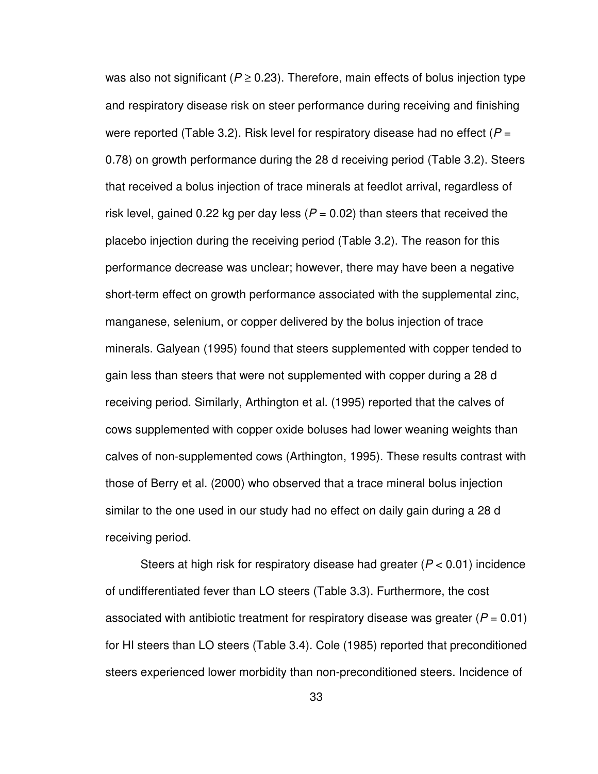was also not significant ( $P \ge 0.23$ ). Therefore, main effects of bolus injection type and respiratory disease risk on steer performance during receiving and finishing were reported (Table 3.2). Risk level for respiratory disease had no effect ( $P =$ 0.78) on growth performance during the 28 d receiving period (Table 3.2). Steers that received a bolus injection of trace minerals at feedlot arrival, regardless of risk level, gained 0.22 kg per day less ( $P = 0.02$ ) than steers that received the placebo injection during the receiving period (Table 3.2). The reason for this performance decrease was unclear; however, there may have been a negative short-term effect on growth performance associated with the supplemental zinc, manganese, selenium, or copper delivered by the bolus injection of trace minerals. Galyean (1995) found that steers supplemented with copper tended to gain less than steers that were not supplemented with copper during a 28 d receiving period. Similarly, Arthington et al. (1995) reported that the calves of cows supplemented with copper oxide boluses had lower weaning weights than calves of non-supplemented cows (Arthington, 1995). These results contrast with those of Berry et al. (2000) who observed that a trace mineral bolus injection similar to the one used in our study had no effect on daily gain during a 28 d receiving period.

Steers at high risk for respiratory disease had greater ( $P < 0.01$ ) incidence of undifferentiated fever than LO steers (Table 3.3). Furthermore, the cost associated with antibiotic treatment for respiratory disease was greater ( $P = 0.01$ ) for HI steers than LO steers (Table 3.4). Cole (1985) reported that preconditioned steers experienced lower morbidity than non-preconditioned steers. Incidence of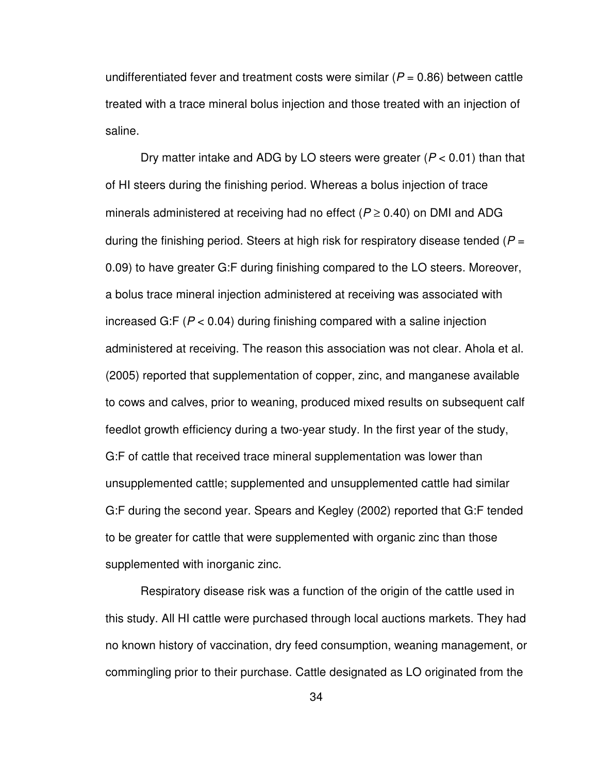undifferentiated fever and treatment costs were similar ( $P = 0.86$ ) between cattle treated with a trace mineral bolus injection and those treated with an injection of saline.

Dry matter intake and ADG by LO steers were greater ( $P < 0.01$ ) than that of HI steers during the finishing period. Whereas a bolus injection of trace minerals administered at receiving had no effect ( $P \ge 0.40$ ) on DMI and ADG during the finishing period. Steers at high risk for respiratory disease tended ( $P =$ 0.09) to have greater G:F during finishing compared to the LO steers. Moreover, a bolus trace mineral injection administered at receiving was associated with increased G:F ( $P < 0.04$ ) during finishing compared with a saline injection administered at receiving. The reason this association was not clear. Ahola et al. (2005) reported that supplementation of copper, zinc, and manganese available to cows and calves, prior to weaning, produced mixed results on subsequent calf feedlot growth efficiency during a two-year study. In the first year of the study, G:F of cattle that received trace mineral supplementation was lower than unsupplemented cattle; supplemented and unsupplemented cattle had similar G:F during the second year. Spears and Kegley (2002) reported that G:F tended to be greater for cattle that were supplemented with organic zinc than those supplemented with inorganic zinc.

Respiratory disease risk was a function of the origin of the cattle used in this study. All HI cattle were purchased through local auctions markets. They had no known history of vaccination, dry feed consumption, weaning management, or commingling prior to their purchase. Cattle designated as LO originated from the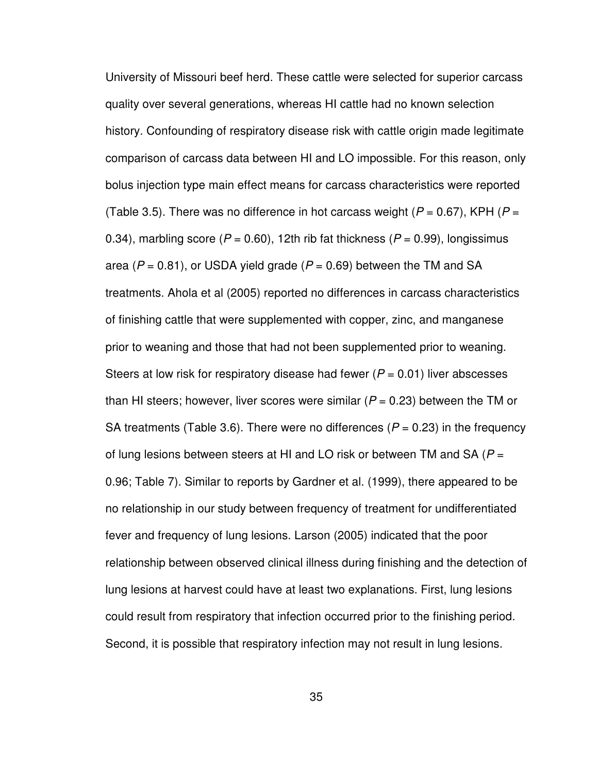University of Missouri beef herd. These cattle were selected for superior carcass quality over several generations, whereas HI cattle had no known selection history. Confounding of respiratory disease risk with cattle origin made legitimate comparison of carcass data between HI and LO impossible. For this reason, only bolus injection type main effect means for carcass characteristics were reported (Table 3.5). There was no difference in hot carcass weight ( $P = 0.67$ ), KPH ( $P =$ 0.34), marbling score ( $P = 0.60$ ), 12th rib fat thickness ( $P = 0.99$ ), longissimus area ( $P = 0.81$ ), or USDA yield grade ( $P = 0.69$ ) between the TM and SA treatments. Ahola et al (2005) reported no differences in carcass characteristics of finishing cattle that were supplemented with copper, zinc, and manganese prior to weaning and those that had not been supplemented prior to weaning. Steers at low risk for respiratory disease had fewer ( $P = 0.01$ ) liver abscesses than HI steers; however, liver scores were similar ( $P = 0.23$ ) between the TM or SA treatments (Table 3.6). There were no differences ( $P = 0.23$ ) in the frequency of lung lesions between steers at HI and LO risk or between TM and SA ( $P =$ 0.96; Table 7). Similar to reports by Gardner et al. (1999), there appeared to be no relationship in our study between frequency of treatment for undifferentiated fever and frequency of lung lesions. Larson (2005) indicated that the poor relationship between observed clinical illness during finishing and the detection of lung lesions at harvest could have at least two explanations. First, lung lesions could result from respiratory that infection occurred prior to the finishing period. Second, it is possible that respiratory infection may not result in lung lesions.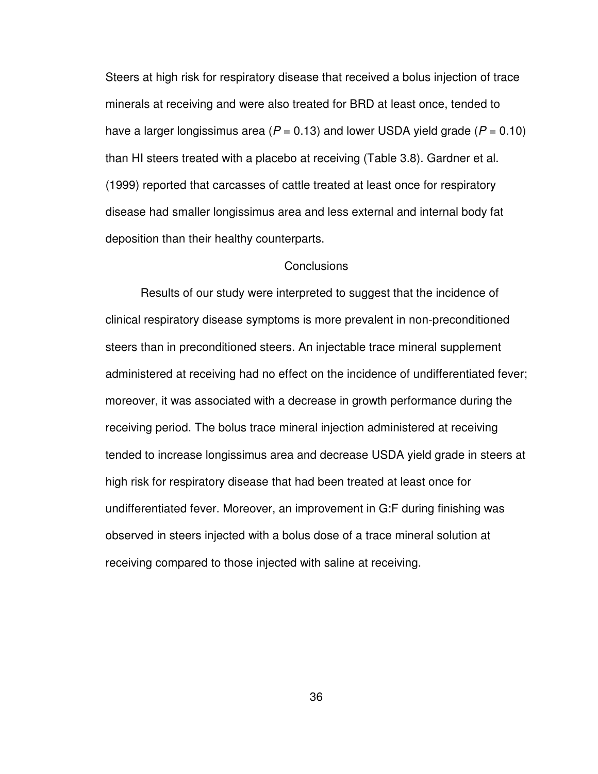Steers at high risk for respiratory disease that received a bolus injection of trace minerals at receiving and were also treated for BRD at least once, tended to have a larger longissimus area ( $P = 0.13$ ) and lower USDA yield grade ( $P = 0.10$ ) than HI steers treated with a placebo at receiving (Table 3.8). Gardner et al. (1999) reported that carcasses of cattle treated at least once for respiratory disease had smaller longissimus area and less external and internal body fat deposition than their healthy counterparts.

#### **Conclusions**

Results of our study were interpreted to suggest that the incidence of clinical respiratory disease symptoms is more prevalent in non-preconditioned steers than in preconditioned steers. An injectable trace mineral supplement administered at receiving had no effect on the incidence of undifferentiated fever; moreover, it was associated with a decrease in growth performance during the receiving period. The bolus trace mineral injection administered at receiving tended to increase longissimus area and decrease USDA yield grade in steers at high risk for respiratory disease that had been treated at least once for undifferentiated fever. Moreover, an improvement in G:F during finishing was observed in steers injected with a bolus dose of a trace mineral solution at receiving compared to those injected with saline at receiving.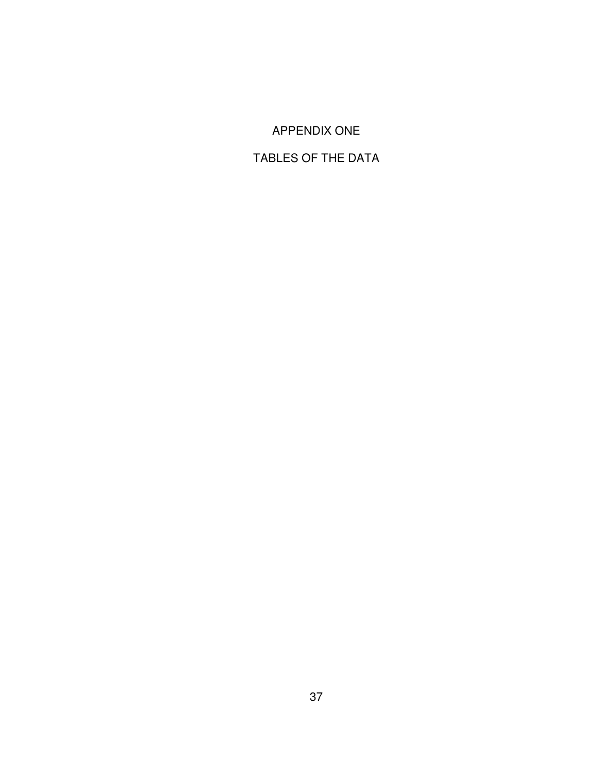## APPENDIX ONE

# TABLES OF THE DATA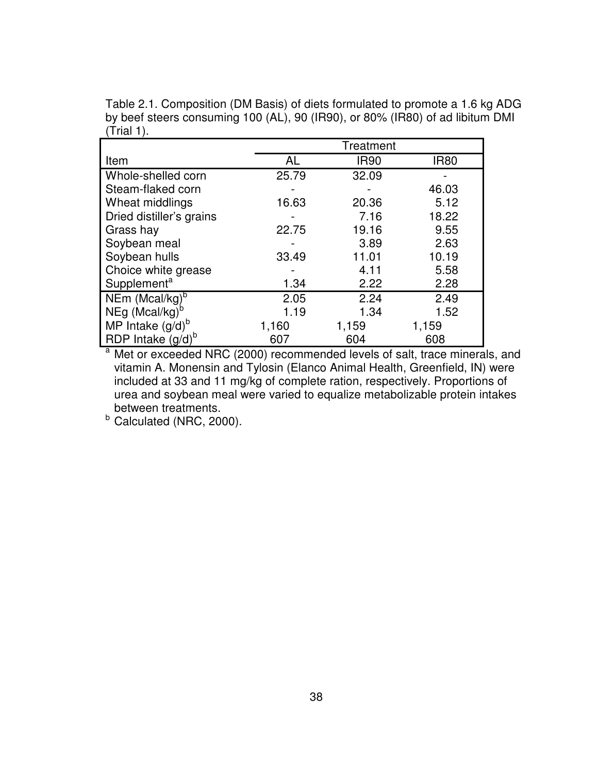Table 2.1. Composition (DM Basis) of diets formulated to promote a 1.6 kg ADG by beef steers consuming 100 (AL), 90 (IR90), or 80% (IR80) of ad libitum DMI  $(T$ rial 1).

|                            | Treatment |             |             |  |  |  |
|----------------------------|-----------|-------------|-------------|--|--|--|
| Item                       | AL        | <b>IR90</b> | <b>IR80</b> |  |  |  |
| Whole-shelled corn         | 25.79     | 32.09       |             |  |  |  |
| Steam-flaked corn          |           |             | 46.03       |  |  |  |
| Wheat middlings            | 16.63     | 20.36       | 5.12        |  |  |  |
| Dried distiller's grains   |           | 7.16        | 18.22       |  |  |  |
| Grass hay                  | 22.75     | 19.16       | 9.55        |  |  |  |
| Soybean meal               |           | 3.89        | 2.63        |  |  |  |
| Soybean hulls              | 33.49     | 11.01       | 10.19       |  |  |  |
| Choice white grease        |           | 4.11        | 5.58        |  |  |  |
| Supplement <sup>a</sup>    | 1.34      | 2.22        | 2.28        |  |  |  |
| NEm (Mcal/kg) <sup>b</sup> | 2.05      | 2.24        | 2.49        |  |  |  |
| NEg (Mcal/kg) <sup>b</sup> | 1.19      | 1.34        | 1.52        |  |  |  |
| MP Intake $(g/d)^b$        | 1,160     | 1,159       | 1,159       |  |  |  |
| RDP Intake $(g/d)^b$       | 607       | 604         | 608         |  |  |  |

<sup>a</sup> Met or exceeded NRC (2000) recommended levels of salt, trace minerals, and vitamin A. Monensin and Tylosin (Elanco Animal Health, Greenfield, IN) were included at 33 and 11 mg/kg of complete ration, respectively. Proportions of urea and soybean meal were varied to equalize metabolizable protein intakes between treatments.

 $b$  Calculated (NRC, 2000).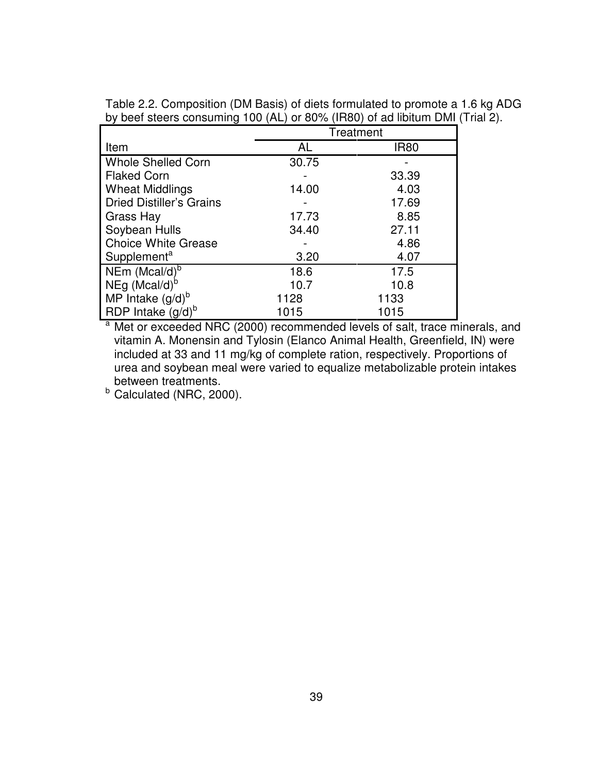| Table 2.2. Composition (DM Basis) of diets formulated to promote a 1.6 kg ADG |  |  |  |
|-------------------------------------------------------------------------------|--|--|--|
| by beef steers consuming 100 (AL) or 80% (IR80) of ad libitum DMI (Trial 2).  |  |  |  |

|                                 | Treatment |             |  |  |  |
|---------------------------------|-----------|-------------|--|--|--|
| Item                            | <b>AL</b> | <b>IR80</b> |  |  |  |
| <b>Whole Shelled Corn</b>       | 30.75     |             |  |  |  |
| <b>Flaked Corn</b>              |           | 33.39       |  |  |  |
| <b>Wheat Middlings</b>          | 14.00     | 4.03        |  |  |  |
| <b>Dried Distiller's Grains</b> |           | 17.69       |  |  |  |
| Grass Hay                       | 17.73     | 8.85        |  |  |  |
| Soybean Hulls                   | 34.40     | 27.11       |  |  |  |
| <b>Choice White Grease</b>      |           | 4.86        |  |  |  |
| Supplement <sup>a</sup>         | 3.20      | 4.07        |  |  |  |
| NEm $(Mcal/d)^b$                | 18.6      | 17.5        |  |  |  |
| $NEg$ (Mcal/d) <sup>b</sup>     | 10.7      | 10.8        |  |  |  |
| MP Intake $(g/d)^b$             | 1128      | 1133        |  |  |  |
| RDP Intake $(g/d)^b$            | 1015      | 1015        |  |  |  |

<sup>a</sup> Met or exceeded NRC (2000) recommended levels of salt, trace minerals, and vitamin A. Monensin and Tylosin (Elanco Animal Health, Greenfield, IN) were included at 33 and 11 mg/kg of complete ration, respectively. Proportions of urea and soybean meal were varied to equalize metabolizable protein intakes between treatments.

 $b$  Calculated (NRC, 2000).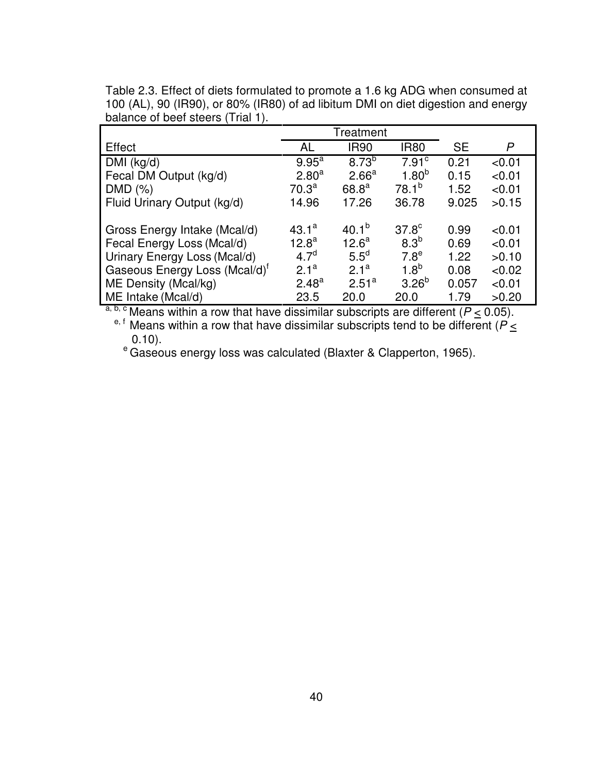|                                           |                   | Treatment         |                   |           |        |
|-------------------------------------------|-------------------|-------------------|-------------------|-----------|--------|
| Effect                                    | AL                | <b>IR90</b>       | <b>IR80</b>       | <b>SE</b> | P      |
| DMI (kg/d)                                | $9.95^{\text{a}}$ | $8.73^{b}$        | 7.91 <sup>c</sup> | 0.21      | < 0.01 |
| Fecal DM Output (kg/d)                    | $2.80^{a}$        | 2.66 <sup>a</sup> | $1.80^{b}$        | 0.15      | < 0.01 |
| DMD (%)                                   | $70.3^{\text{a}}$ | 68.8 <sup>a</sup> | $78.1^{b}$        | 1.52      | < 0.01 |
| Fluid Urinary Output (kg/d)               | 14.96             | 17.26             | 36.78             | 9.025     | >0.15  |
|                                           |                   |                   |                   |           |        |
| Gross Energy Intake (Mcal/d)              | $43.1^a$          | $40.1^{b}$        | 37.8 <sup>c</sup> | 0.99      | < 0.01 |
| Fecal Energy Loss (Mcal/d)                | $12.8^{\text{a}}$ | 12.6 <sup>a</sup> | 8.3 <sup>b</sup>  | 0.69      | < 0.01 |
| Urinary Energy Loss (Mcal/d)              | 4.7 <sup>d</sup>  | $5.5^{\circ}$     | 7.8 <sup>e</sup>  | 1.22      | >0.10  |
| Gaseous Energy Loss (Mcal/d) <sup>t</sup> | 2.1 <sup>a</sup>  | 2.1 <sup>a</sup>  | 1.8 <sup>b</sup>  | 0.08      | < 0.02 |
| ME Density (Mcal/kg)                      | $2.48^{a}$        | 2.51 <sup>a</sup> | $3.26^{b}$        | 0.057     | < 0.01 |
| ME Intake (Mcal/d)                        | 23.5              | 20.0              | 20.0              | 1.79      | >0.20  |

Table 2.3. Effect of diets formulated to promote a 1.6 kg ADG when consumed at 100 (AL), 90 (IR90), or 80% (IR80) of ad libitum DMI on diet digestion and energy balance of beef steers (Trial 1).

<sup>a, b, c</sup> Means within a row that have dissimilar subscripts are different ( $P \le 0.05$ ).

<sup>e, f</sup> Means within a row that have dissimilar subscripts tend to be different ( $P \leq$ 0.10).

e Gricy.<br>
<sup>e</sup> Gaseous energy loss was calculated (Blaxter & Clapperton, 1965).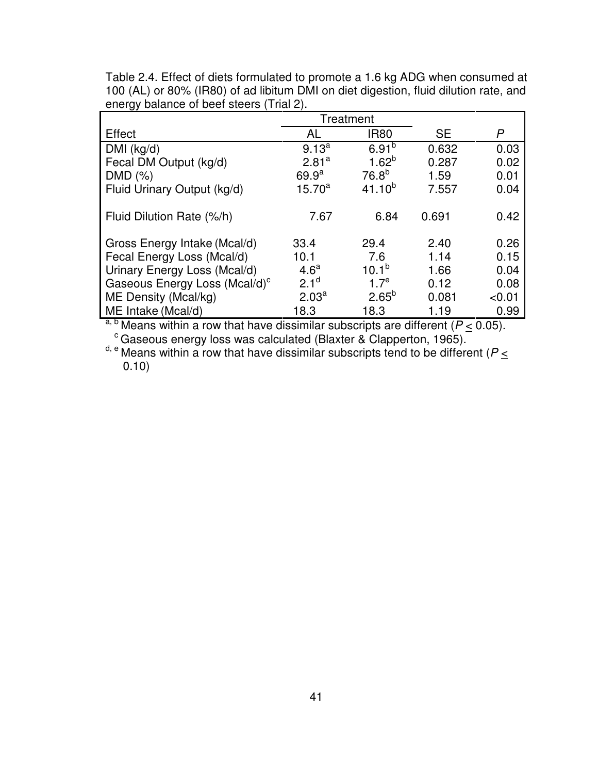|                                           |                   | Treatment        |           |              |
|-------------------------------------------|-------------------|------------------|-----------|--------------|
| Effect                                    | AL                | <b>IR80</b>      | <b>SE</b> | $\mathsf{P}$ |
| DMI (kg/d)                                | $9.13^{a}$        | $6.91^{b}$       | 0.632     | 0.03         |
| Fecal DM Output (kg/d)                    | 2.81 <sup>a</sup> | $1.62^{b}$       | 0.287     | 0.02         |
| DMD (%)                                   | 69.9 <sup>a</sup> | $76.8^{b}$       | 1.59      | 0.01         |
| Fluid Urinary Output (kg/d)               | $15.70^a$         | $41.10^{b}$      | 7.557     | 0.04         |
|                                           |                   |                  |           |              |
| Fluid Dilution Rate (%/h)                 | 7.67              | 6.84             | 0.691     | 0.42         |
|                                           |                   |                  |           |              |
| Gross Energy Intake (Mcal/d)              | 33.4              | 29.4             | 2.40      | 0.26         |
| Fecal Energy Loss (Mcal/d)                | 10.1              | 7.6              | 1.14      | 0.15         |
| Urinary Energy Loss (Mcal/d)              | 4.6 <sup>a</sup>  | $10.1^{b}$       | 1.66      | 0.04         |
| Gaseous Energy Loss (Mcal/d) <sup>c</sup> | 2.1 <sup>d</sup>  | 1.7 <sup>e</sup> | 0.12      | 0.08         |
| ME Density (Mcal/kg)                      | 2.03 <sup>a</sup> | $2.65^{b}$       | 0.081     | < 0.01       |
| ME Intake (Mcal/d)                        | 18.3              | 18.3             | 1.19      | 0.99         |

Table 2.4. Effect of diets formulated to promote a 1.6 kg ADG when consumed at 100 (AL) or 80% (IR80) of ad libitum DMI on diet digestion, fluid dilution rate, and energy balance of beef steers (Trial 2).

<sup>a, b</sup> Means within a row that have dissimilar subscripts are different ( $P \leq 0.05$ ). c Means when a few that there exercise to the Clapperton, 1965).

 $d, e$  Means within a row that have dissimilar subscripts tend to be different ( $P \le$ 0.10)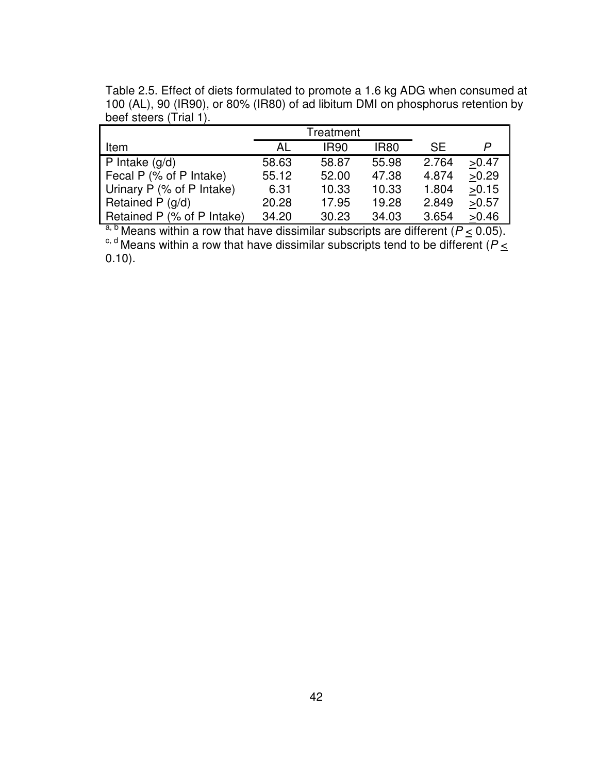|                            |       | Treatment   |             |           |       |
|----------------------------|-------|-------------|-------------|-----------|-------|
| l Item                     | AL    | <b>IR90</b> | <b>IR80</b> | <b>SE</b> |       |
| $\mathsf{P}$ Intake (g/d)  | 58.63 | 58.87       | 55.98       | 2.764     | >0.47 |
| Fecal P (% of P Intake)    | 55.12 | 52.00       | 47.38       | 4.874     | >0.29 |
| Urinary P (% of P Intake)  | 6.31  | 10.33       | 10.33       | 1.804     | >0.15 |
| Retained P $(g/d)$         | 20.28 | 17.95       | 19.28       | 2.849     | >0.57 |
| Retained P (% of P Intake) | 34.20 | 30.23       | 34.03       | 3.654     | >0.46 |

Table 2.5. Effect of diets formulated to promote a 1.6 kg ADG when consumed at 100 (AL), 90 (IR90), or 80% (IR80) of ad libitum DMI on phosphorus retention by beef steers (Trial 1).

<sup>a, b</sup> Means within a row that have dissimilar subscripts are different ( $P \leq 0.05$ ). <sup>c, d</sup> Means within a row that have dissimilar subscripts tend to be different ( $P \leq$ 0.10).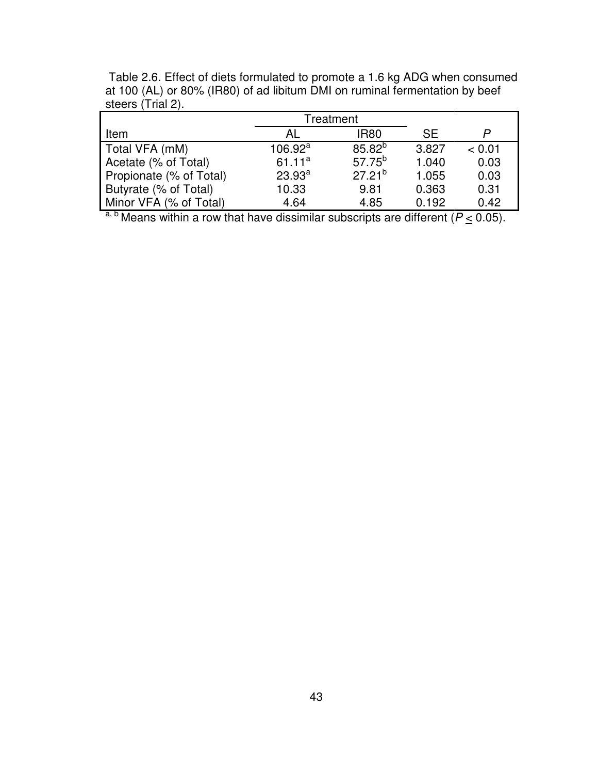|                         |            | Treatment   |           |        |
|-------------------------|------------|-------------|-----------|--------|
| Item                    | AL         | <b>IR80</b> | <b>SE</b> |        |
| Total VFA (mM)          | $106.92^a$ | $85.82^{b}$ | 3.827     | < 0.01 |
| Acetate (% of Total)    | $61.11^a$  | $57.75^{b}$ | 1.040     | 0.03   |
| Propionate (% of Total) | $23.93^a$  | $27.21^{b}$ | 1.055     | 0.03   |
| Butyrate (% of Total)   | 10.33      | 9.81        | 0.363     | 0.31   |
| Minor VFA (% of Total)  | 4.64       | 4.85        | 0.192     | 0.42   |

 Table 2.6. Effect of diets formulated to promote a 1.6 kg ADG when consumed at 100 (AL) or 80% (IR80) of ad libitum DMI on ruminal fermentation by beef steers (Trial 2).

<sup>a, b</sup> Means within a row that have dissimilar subscripts are different ( $P \leq 0.05$ ).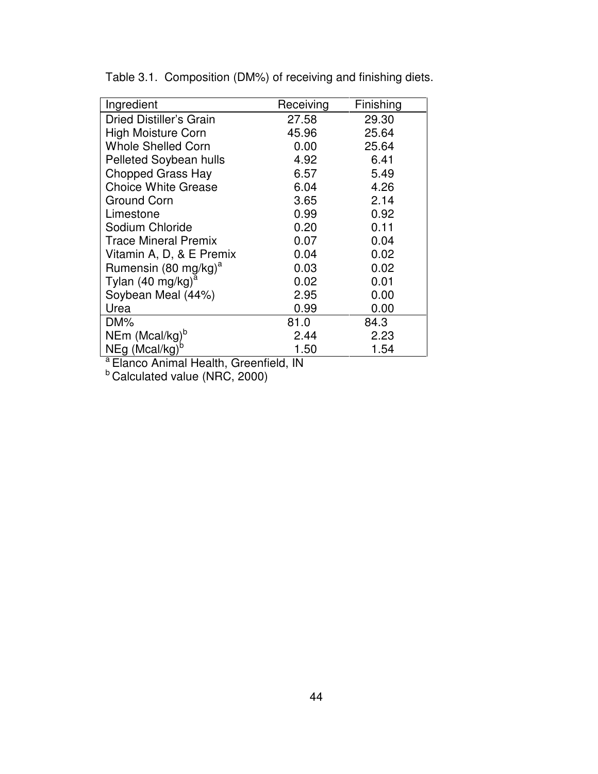| Ingredient                                               | Receiving | Finishing |
|----------------------------------------------------------|-----------|-----------|
| Dried Distiller's Grain                                  | 27.58     | 29.30     |
| <b>High Moisture Corn</b>                                | 45.96     | 25.64     |
| <b>Whole Shelled Corn</b>                                | 0.00      | 25.64     |
| <b>Pelleted Soybean hulls</b>                            | 4.92      | 6.41      |
| <b>Chopped Grass Hay</b>                                 | 6.57      | 5.49      |
| <b>Choice White Grease</b>                               | 6.04      | 4.26      |
| Ground Corn                                              | 3.65      | 2.14      |
| Limestone                                                | 0.99      | 0.92      |
| Sodium Chloride                                          | 0.20      | 0.11      |
| <b>Trace Mineral Premix</b>                              | 0.07      | 0.04      |
| Vitamin A, D, & E Premix                                 | 0.04      | 0.02      |
| Rumensin (80 mg/kg) <sup>a</sup>                         | 0.03      | 0.02      |
| Tylan (40 mg/kg) <sup>a</sup>                            | 0.02      | 0.01      |
| Soybean Meal (44%)                                       | 2.95      | 0.00      |
| Urea                                                     | 0.99      | 0.00      |
| DM%                                                      | 81.0      | 84.3      |
|                                                          | 2.44      | 2.23      |
| NEm (Mcal/kg) <sup>b</sup><br>NEg (Mcal/kg) <sup>b</sup> | 1.50      | 1.54      |

Table 3.1. Composition (DM%) of receiving and finishing diets.

<sup>a</sup> Elanco Animal Health, Greenfield, IN

<sup>b</sup> Calculated value (NRC, 2000)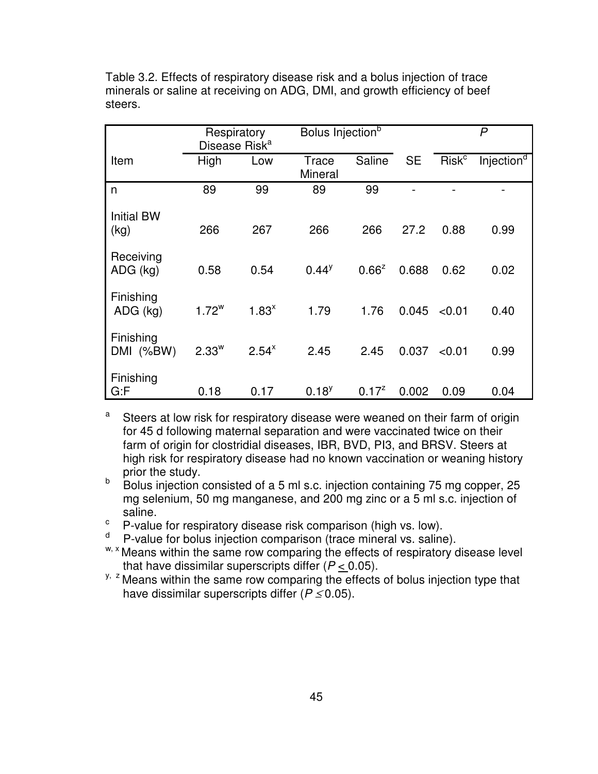|                           | Respiratory<br>Disease Risk <sup>a</sup> |            | Bolus Injection <sup>b</sup> |            |           |                   | $\mathsf{P}$           |
|---------------------------|------------------------------------------|------------|------------------------------|------------|-----------|-------------------|------------------------|
| Item                      | High                                     | Low        | Trace<br>Mineral             | Saline     | <b>SE</b> | Risk <sup>c</sup> | Injection <sup>d</sup> |
| n                         | 89                                       | 99         | 89                           | 99         |           |                   |                        |
| <b>Initial BW</b><br>(kg) | 266                                      | 267        | 266                          | 266        | 27.2      | 0.88              | 0.99                   |
| Receiving<br>$ADG$ (kg)   | 0.58                                     | 0.54       | $0.44^y$                     | $0.66^z$   | 0.688     | 0.62              | 0.02                   |
| Finishing<br>ADG (kg)     | $1.72^w$                                 | $1.83^{x}$ | 1.79                         | 1.76       | 0.045     | < 0.01            | 0.40                   |
| Finishing<br>DMI (%BW)    | $2.33^w$                                 | $2.54^x$   | 2.45                         | 2.45       | 0.037     | < 0.01            | 0.99                   |
| Finishing<br>G: F         | 0.18                                     | 0.17       | $0.18^{y}$                   | $0.17^{z}$ | 0.002     | 0.09              | 0.04                   |

Table 3.2. Effects of respiratory disease risk and a bolus injection of trace minerals or saline at receiving on ADG, DMI, and growth efficiency of beef steers.

a Steers at low risk for respiratory disease were weaned on their farm of origin for 45 d following maternal separation and were vaccinated twice on their farm of origin for clostridial diseases, IBR, BVD, PI3, and BRSV. Steers at high risk for respiratory disease had no known vaccination or weaning history prior the study.

 $b$  Bolus injection consisted of a 5 ml s.c. injection containing 75 mg copper, 25 mg selenium, 50 mg manganese, and 200 mg zinc or a 5 ml s.c. injection of saline.

 $\degree$  P-value for respiratory disease risk comparison (high vs. low).

<sup>d</sup>P-value for bolus injection comparison (trace mineral vs. saline).

w, x Means within the same row comparing the effects of respiratory disease level that have dissimilar superscripts differ  $(P < 0.05)$ .

 $y$ ,  $z$  Means within the same row comparing the effects of bolus injection type that have dissimilar superscripts differ  $(P \le 0.05)$ .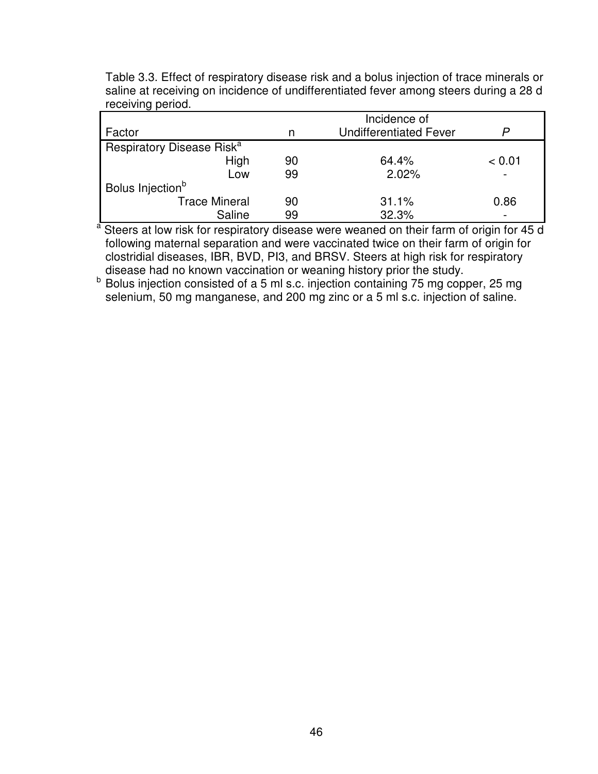|                                       |    | Incidence of                  |        |
|---------------------------------------|----|-------------------------------|--------|
| Factor                                | n  | <b>Undifferentiated Fever</b> |        |
| Respiratory Disease Risk <sup>a</sup> |    |                               |        |
| High                                  | 90 | 64.4%                         | < 0.01 |
| Low                                   | 99 | 2.02%                         |        |
| Bolus Injection <sup>b</sup>          |    |                               |        |
| <b>Trace Mineral</b>                  | 90 | 31.1%                         | 0.86   |
| Saline                                | 99 | 32.3%                         |        |

Table 3.3. Effect of respiratory disease risk and a bolus injection of trace minerals or saline at receiving on incidence of undifferentiated fever among steers during a 28 d receiving period.

<sup>a</sup> Steers at low risk for respiratory disease were weaned on their farm of origin for 45 d following maternal separation and were vaccinated twice on their farm of origin for clostridial diseases, IBR, BVD, PI3, and BRSV. Steers at high risk for respiratory disease had no known vaccination or weaning history prior the study.

b Bolus injection consisted of a 5 ml s.c. injection containing 75 mg copper, 25 mg selenium, 50 mg manganese, and 200 mg zinc or a 5 ml s.c. injection of saline.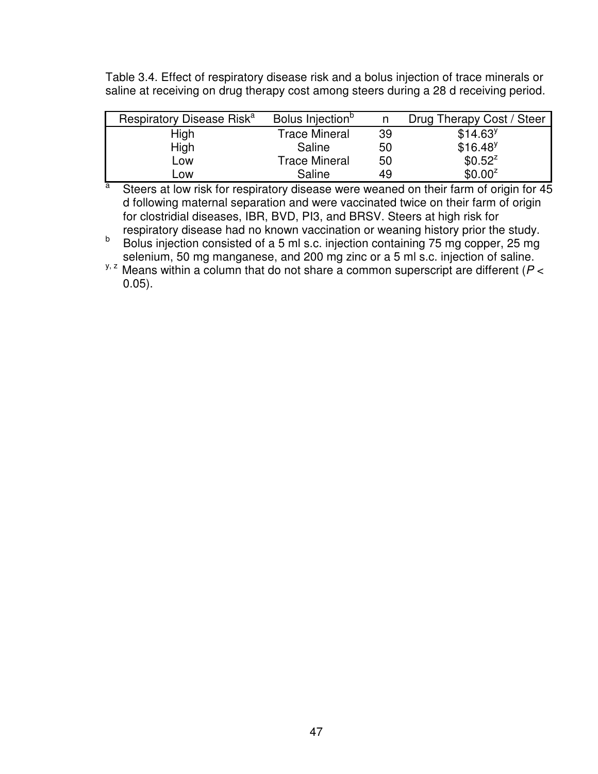Table 3.4. Effect of respiratory disease risk and a bolus injection of trace minerals or saline at receiving on drug therapy cost among steers during a 28 d receiving period.

| Respiratory Disease Risk <sup>a</sup> | Bolus Injection <sup>p</sup> |    | Drug Therapy Cost / Steer |
|---------------------------------------|------------------------------|----|---------------------------|
| High                                  | <b>Trace Mineral</b>         | 39 | \$14.63 <sup>y</sup>      |
| High                                  | Saline                       | 50 | $$16.48$ <sup>y</sup>     |
| Low                                   | <b>Trace Mineral</b>         | 50 | $$0.52^z$                 |
| LOW                                   | Saline                       | 49 | $$0.00^z$$                |

a Steers at low risk for respiratory disease were weaned on their farm of origin for 45 d following maternal separation and were vaccinated twice on their farm of origin for clostridial diseases, IBR, BVD, PI3, and BRSV. Steers at high risk for respiratory disease had no known vaccination or weaning history prior the study.

b Bolus injection consisted of a 5 ml s.c. injection containing 75 mg copper, 25 mg selenium, 50 mg manganese, and 200 mg zinc or a 5 ml s.c. injection of saline.

 $y$ ,  $z$  Means within a column that do not share a common superscript are different ( $P <$ 0.05).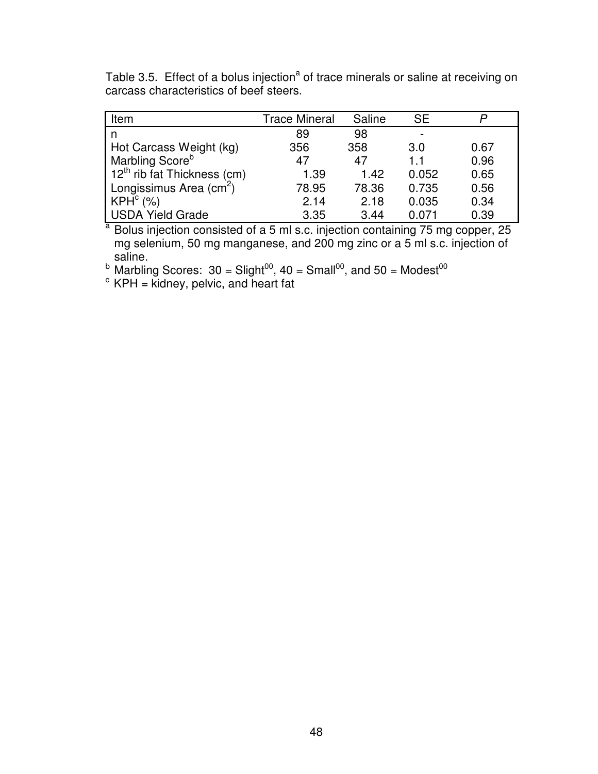Table 3.5. Effect of a bolus injection<sup>a</sup> of trace minerals or saline at receiving on carcass characteristics of beef steers.

| Item                          | <b>Trace Mineral</b><br>Saline |       | <b>SE</b>          |      |
|-------------------------------|--------------------------------|-------|--------------------|------|
| n                             | 89                             | 98    |                    |      |
| Hot Carcass Weight (kg)       | 356                            | 358   | 3.0                | 0.67 |
| Marbling Score <sup>b</sup>   | 47                             | 47    | $1\hspace{0.1cm}1$ | 0.96 |
| $12th$ rib fat Thickness (cm) | 1.39                           | 1.42  | 0.052              | 0.65 |
| Longissimus Area $(cm2)$      | 78.95                          | 78.36 | 0.735              | 0.56 |
| KPH <sup>c</sup> (%)          | 2.14                           | 2.18  | 0.035              | 0.34 |
| <b>USDA Yield Grade</b>       | 3.35                           | 3.44  | 0.071              | 0.39 |

 $a$  Bolus injection consisted of a 5 ml s.c. injection containing 75 mg copper, 25 mg selenium, 50 mg manganese, and 200 mg zinc or a 5 ml s.c. injection of saline.

<sup>b</sup> Marbling Scores: 30 = Slight<sup>00</sup>, 40 = Small<sup>00</sup>, and 50 = Modest<sup>00</sup>

 $c$  KPH = kidney, pelvic, and heart fat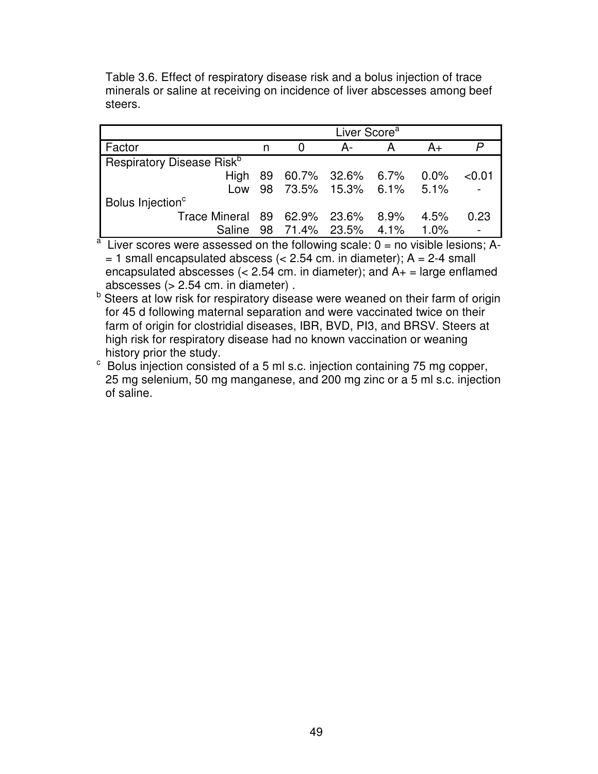Table 3.6. Effect of respiratory disease risk and a bolus injection of trace minerals or saline at receiving on incidence of liver abscesses among beef steers.

|                                       | Liver Score <sup>a</sup> |          |                          |   |      |        |
|---------------------------------------|--------------------------|----------|--------------------------|---|------|--------|
| Factor                                |                          | $\Omega$ | А-                       | A | A+   |        |
| Respiratory Disease Risk <sup>b</sup> |                          |          |                          |   |      |        |
| <b>High</b>                           |                          |          | 89 60.7% 32.6% 6.7% 0.0% |   |      | < 0.01 |
| Low                                   |                          |          | 98 73.5% 15.3% 6.1% 5.1% |   |      |        |
| Bolus Injection <sup>c</sup>          |                          |          |                          |   |      |        |
| Trace Mineral 89 62.9% 23.6% 8.9%     |                          |          |                          |   | 4.5% | 0.23   |
| <b>Saline</b>                         |                          |          | 98 71.4% 23.5% 4.1% 1.0% |   |      |        |

 $a<sup>a</sup>$  Liver scores were assessed on the following scale:  $0 =$  no visible lesions; A- $= 1$  small encapsulated abscess (< 2.54 cm. in diameter); A = 2-4 small encapsulated abscesses  $\left($  < 2.54 cm. in diameter); and  $A_{+}$  = large enflamed abscesses (> 2.54 cm. in diameter) .

**b** Steers at low risk for respiratory disease were weaned on their farm of origin for 45 d following maternal separation and were vaccinated twice on their farm of origin for clostridial diseases, IBR, BVD, PI3, and BRSV. Steers at high risk for respiratory disease had no known vaccination or weaning history prior the study.

<sup>c</sup> Bolus injection consisted of a 5 ml s.c. injection containing 75 mg copper, 25 mg selenium, 50 mg manganese, and 200 mg zinc or a 5 ml s.c. injection of saline.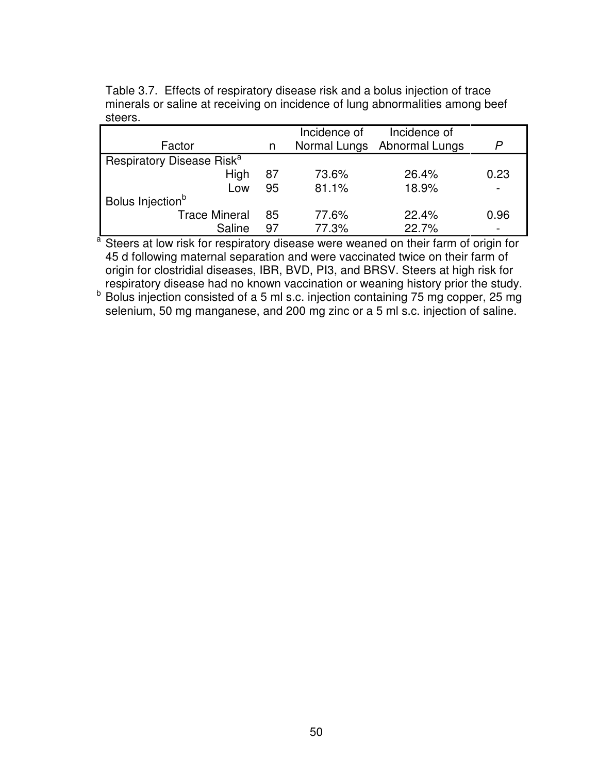| Factor                                |    | Incidence of | Incidence of<br>Normal Lungs Abnormal Lungs | P                        |
|---------------------------------------|----|--------------|---------------------------------------------|--------------------------|
| Respiratory Disease Risk <sup>a</sup> |    |              |                                             |                          |
| High                                  | 87 | 73.6%        | 26.4%                                       | 0.23                     |
| Low                                   | 95 | 81.1%        | 18.9%                                       | $\overline{\phantom{a}}$ |
| Bolus Injection <sup>b</sup>          |    |              |                                             |                          |
| <b>Trace Mineral</b>                  | 85 | 77.6%        | 22.4%                                       | 0.96                     |
| Saline                                | 97 | 77.3%        | 22.7%                                       |                          |

Table 3.7. Effects of respiratory disease risk and a bolus injection of trace minerals or saline at receiving on incidence of lung abnormalities among beef steers.

<sup>a</sup> Steers at low risk for respiratory disease were weaned on their farm of origin for 45 d following maternal separation and were vaccinated twice on their farm of origin for clostridial diseases, IBR, BVD, PI3, and BRSV. Steers at high risk for respiratory disease had no known vaccination or weaning history prior the study.

b Bolus injection consisted of a 5 ml s.c. injection containing 75 mg copper, 25 mg selenium, 50 mg manganese, and 200 mg zinc or a 5 ml s.c. injection of saline.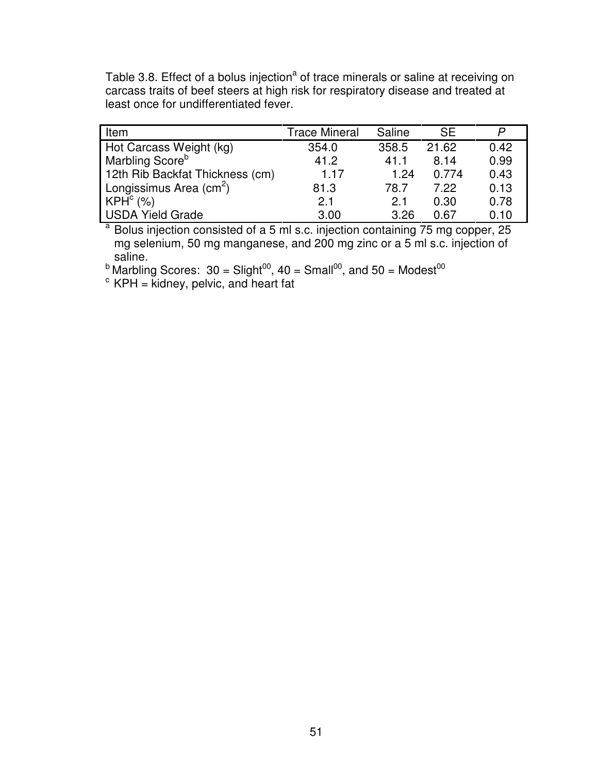Table 3.8. Effect of a bolus injection<sup>a</sup> of trace minerals or saline at receiving on carcass traits of beef steers at high risk for respiratory disease and treated at least once for undifferentiated fever.

| Item                                    | <b>Trace Mineral</b> | Saline | <b>SE</b> | P    |
|-----------------------------------------|----------------------|--------|-----------|------|
| Hot Carcass Weight (kg)                 | 354.0                | 358.5  | 21.62     | 0.42 |
| Marbling Score <sup>b</sup>             | 41.2                 | 41.1   | 8.14      | 0.99 |
| 12th Rib Backfat Thickness (cm)         | 1.17                 | 1.24   | 0.774     | 0.43 |
| Longissimus Area $\text{(cm}^2\text{)}$ | 81.3                 | 78.7   | 7.22      | 0.13 |
| KPH <sup>c</sup> (%)                    | 2.1                  | 2.1    | 0.30      | 0.78 |
| <b>USDA Yield Grade</b>                 | 3.00                 | 3.26   | 0.67      | 0.10 |

<sup>a</sup> Bolus injection consisted of a 5 ml s.c. injection containing 75 mg copper, 25 mg selenium, 50 mg manganese, and 200 mg zinc or a 5 ml s.c. injection of saline.

 $^{\text{b}}$  Marbling Scores: 30 = Slight<sup>00</sup>, 40 = Small<sup>00</sup>, and 50 = Modest<sup>00</sup>

 $\textdegree$  KPH = kidney, pelvic, and heart fat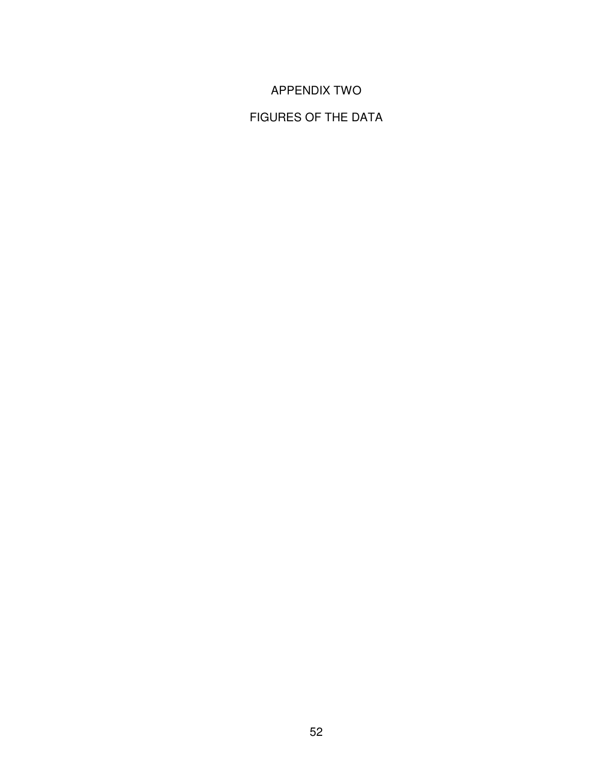# APPENDIX TWO

# FIGURES OF THE DATA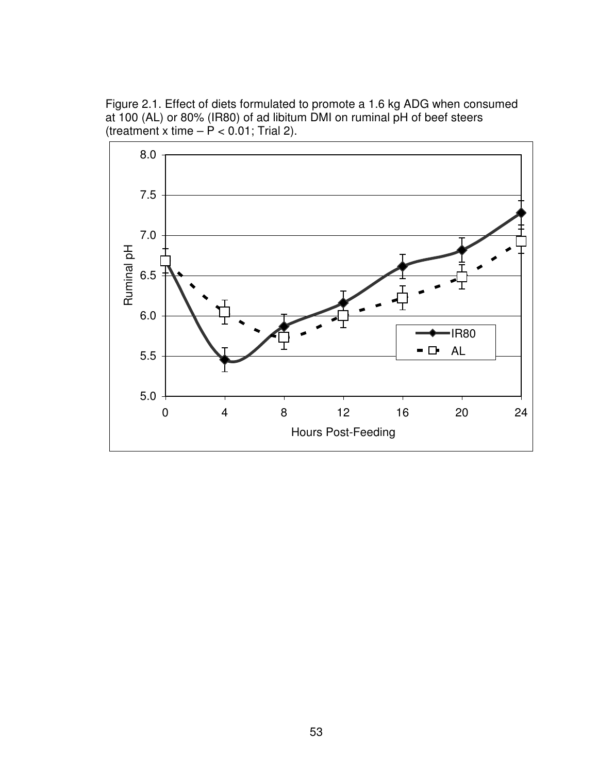Figure 2.1. Effect of diets formulated to promote a 1.6 kg ADG when consumed at 100 (AL) or 80% (IR80) of ad libitum DMI on ruminal pH of beef steers (treatment x time  $- P < 0.01$ ; Trial 2).

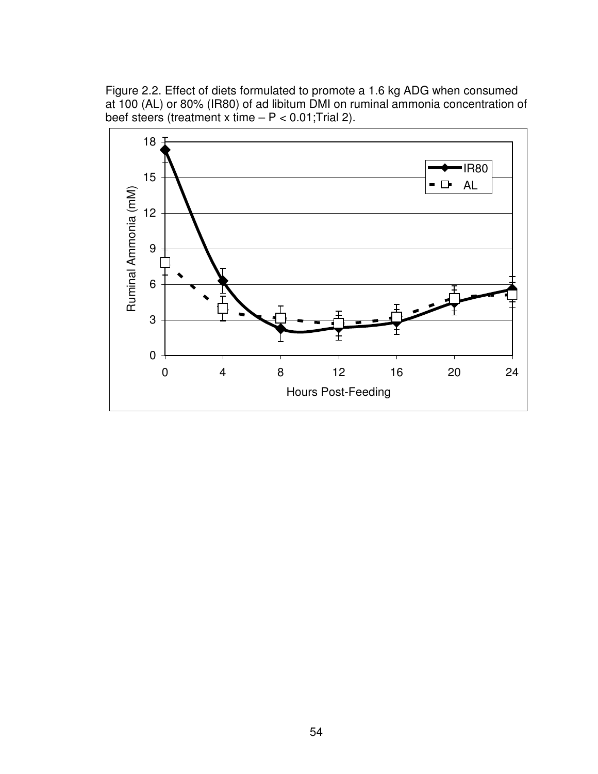Figure 2.2. Effect of diets formulated to promote a 1.6 kg ADG when consumed at 100 (AL) or 80% (IR80) of ad libitum DMI on ruminal ammonia concentration of beef steers (treatment x time  $- P < 0.01$ ; Trial 2).

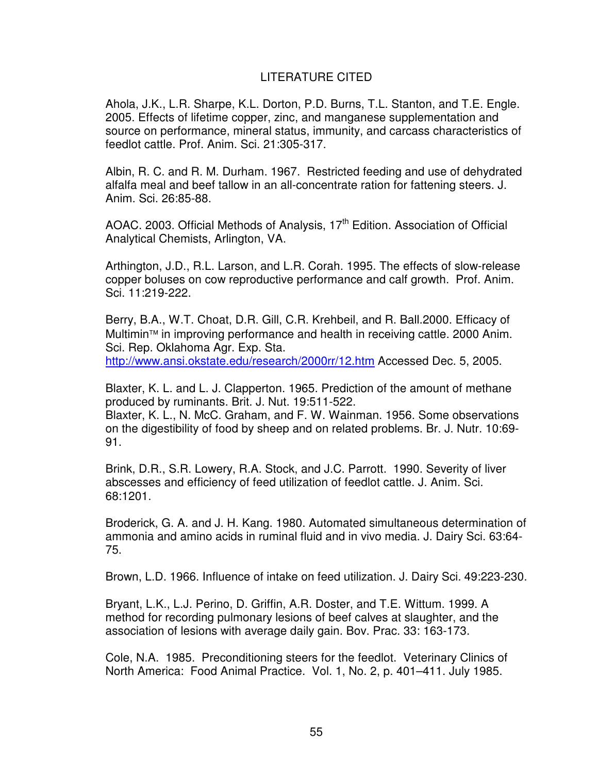### LITERATURE CITED

Ahola, J.K., L.R. Sharpe, K.L. Dorton, P.D. Burns, T.L. Stanton, and T.E. Engle. 2005. Effects of lifetime copper, zinc, and manganese supplementation and source on performance, mineral status, immunity, and carcass characteristics of feedlot cattle. Prof. Anim. Sci. 21:305-317.

Albin, R. C. and R. M. Durham. 1967. Restricted feeding and use of dehydrated alfalfa meal and beef tallow in an all-concentrate ration for fattening steers. J. Anim. Sci. 26:85-88.

AOAC. 2003. Official Methods of Analysis, 17<sup>th</sup> Edition. Association of Official Analytical Chemists, Arlington, VA.

Arthington, J.D., R.L. Larson, and L.R. Corah. 1995. The effects of slow-release copper boluses on cow reproductive performance and calf growth. Prof. Anim. Sci. 11:219-222.

Berry, B.A., W.T. Choat, D.R. Gill, C.R. Krehbeil, and R. Ball.2000. Efficacy of Multimin™ in improving performance and health in receiving cattle. 2000 Anim. Sci. Rep. Oklahoma Agr. Exp. Sta.

http://www.ansi.okstate.edu/research/2000rr/12.htm Accessed Dec. 5, 2005.

Blaxter, K. L. and L. J. Clapperton. 1965. Prediction of the amount of methane produced by ruminants. Brit. J. Nut. 19:511-522.

Blaxter, K. L., N. McC. Graham, and F. W. Wainman. 1956. Some observations on the digestibility of food by sheep and on related problems. Br. J. Nutr. 10:69- 91.

Brink, D.R., S.R. Lowery, R.A. Stock, and J.C. Parrott. 1990. Severity of liver abscesses and efficiency of feed utilization of feedlot cattle. J. Anim. Sci. 68:1201.

Broderick, G. A. and J. H. Kang. 1980. Automated simultaneous determination of ammonia and amino acids in ruminal fluid and in vivo media. J. Dairy Sci. 63:64- 75.

Brown, L.D. 1966. Influence of intake on feed utilization. J. Dairy Sci. 49:223-230.

Bryant, L.K., L.J. Perino, D. Griffin, A.R. Doster, and T.E. Wittum. 1999. A method for recording pulmonary lesions of beef calves at slaughter, and the association of lesions with average daily gain. Bov. Prac. 33: 163-173.

Cole, N.A. 1985. Preconditioning steers for the feedlot. Veterinary Clinics of North America: Food Animal Practice. Vol. 1, No. 2, p. 401–411. July 1985.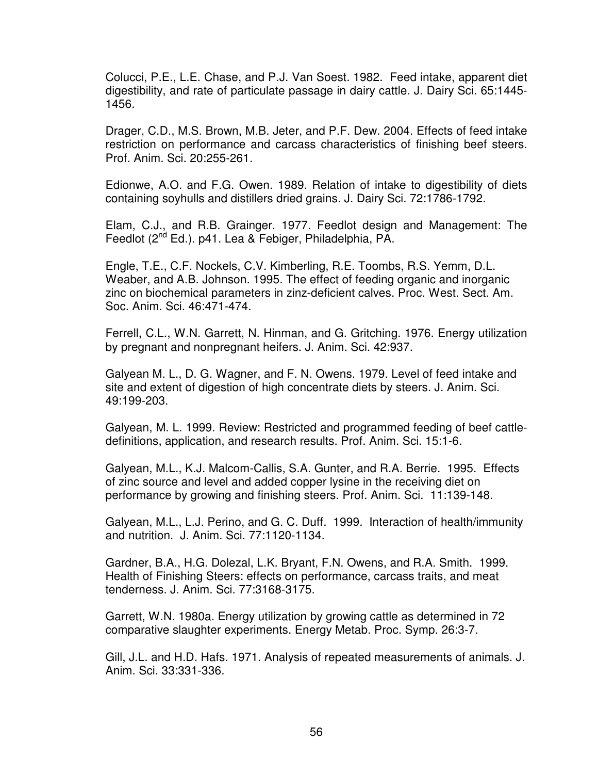Colucci, P.E., L.E. Chase, and P.J. Van Soest. 1982. Feed intake, apparent diet digestibility, and rate of particulate passage in dairy cattle. J. Dairy Sci. 65:1445- 1456.

Drager, C.D., M.S. Brown, M.B. Jeter, and P.F. Dew. 2004. Effects of feed intake restriction on performance and carcass characteristics of finishing beef steers. Prof. Anim. Sci. 20:255-261.

Edionwe, A.O. and F.G. Owen. 1989. Relation of intake to digestibility of diets containing soyhulls and distillers dried grains. J. Dairy Sci. 72:1786-1792.

Elam, C.J., and R.B. Grainger. 1977. Feedlot design and Management: The Feedlot (2<sup>nd</sup> Ed.). p41. Lea & Febiger, Philadelphia, PA.

Engle, T.E., C.F. Nockels, C.V. Kimberling, R.E. Toombs, R.S. Yemm, D.L. Weaber, and A.B. Johnson. 1995. The effect of feeding organic and inorganic zinc on biochemical parameters in zinz-deficient calves. Proc. West. Sect. Am. Soc. Anim. Sci. 46:471-474.

Ferrell, C.L., W.N. Garrett, N. Hinman, and G. Gritching. 1976. Energy utilization by pregnant and nonpregnant heifers. J. Anim. Sci. 42:937.

Galyean M. L., D. G. Wagner, and F. N. Owens. 1979. Level of feed intake and site and extent of digestion of high concentrate diets by steers. J. Anim. Sci. 49:199-203.

Galyean, M. L. 1999. Review: Restricted and programmed feeding of beef cattledefinitions, application, and research results. Prof. Anim. Sci. 15:1-6.

Galyean, M.L., K.J. Malcom-Callis, S.A. Gunter, and R.A. Berrie. 1995. Effects of zinc source and level and added copper lysine in the receiving diet on performance by growing and finishing steers. Prof. Anim. Sci. 11:139-148.

Galyean, M.L., L.J. Perino, and G. C. Duff. 1999. Interaction of health/immunity and nutrition. J. Anim. Sci. 77:1120-1134.

Gardner, B.A., H.G. Dolezal, L.K. Bryant, F.N. Owens, and R.A. Smith. 1999. Health of Finishing Steers: effects on performance, carcass traits, and meat tenderness. J. Anim. Sci. 77:3168-3175.

Garrett, W.N. 1980a. Energy utilization by growing cattle as determined in 72 comparative slaughter experiments. Energy Metab. Proc. Symp. 26:3-7.

Gill, J.L. and H.D. Hafs. 1971. Analysis of repeated measurements of animals. J. Anim. Sci. 33:331-336.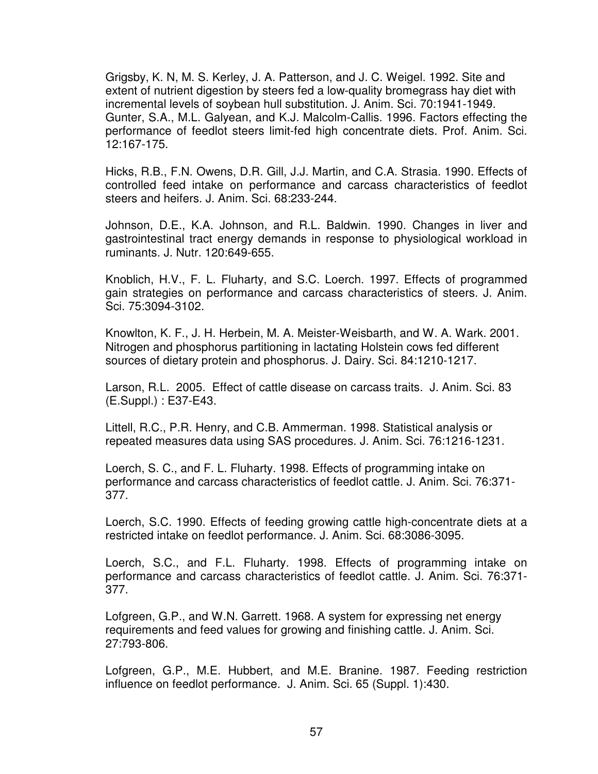Grigsby, K. N, M. S. Kerley, J. A. Patterson, and J. C. Weigel. 1992. Site and extent of nutrient digestion by steers fed a low-quality bromegrass hay diet with incremental levels of soybean hull substitution. J. Anim. Sci. 70:1941-1949. Gunter, S.A., M.L. Galyean, and K.J. Malcolm-Callis. 1996. Factors effecting the performance of feedlot steers limit-fed high concentrate diets. Prof. Anim. Sci. 12:167-175.

Hicks, R.B., F.N. Owens, D.R. Gill, J.J. Martin, and C.A. Strasia. 1990. Effects of controlled feed intake on performance and carcass characteristics of feedlot steers and heifers. J. Anim. Sci. 68:233-244.

Johnson, D.E., K.A. Johnson, and R.L. Baldwin. 1990. Changes in liver and gastrointestinal tract energy demands in response to physiological workload in ruminants. J. Nutr. 120:649-655.

Knoblich, H.V., F. L. Fluharty, and S.C. Loerch. 1997. Effects of programmed gain strategies on performance and carcass characteristics of steers. J. Anim. Sci. 75:3094-3102.

Knowlton, K. F., J. H. Herbein, M. A. Meister-Weisbarth, and W. A. Wark. 2001. Nitrogen and phosphorus partitioning in lactating Holstein cows fed different sources of dietary protein and phosphorus. J. Dairy. Sci. 84:1210-1217.

Larson, R.L. 2005. Effect of cattle disease on carcass traits. J. Anim. Sci. 83 (E.Suppl.) : E37-E43.

Littell, R.C., P.R. Henry, and C.B. Ammerman. 1998. Statistical analysis or repeated measures data using SAS procedures. J. Anim. Sci. 76:1216-1231.

Loerch, S. C., and F. L. Fluharty. 1998. Effects of programming intake on performance and carcass characteristics of feedlot cattle. J. Anim. Sci. 76:371- 377.

Loerch, S.C. 1990. Effects of feeding growing cattle high-concentrate diets at a restricted intake on feedlot performance. J. Anim. Sci. 68:3086-3095.

Loerch, S.C., and F.L. Fluharty. 1998. Effects of programming intake on performance and carcass characteristics of feedlot cattle. J. Anim. Sci. 76:371- 377.

Lofgreen, G.P., and W.N. Garrett. 1968. A system for expressing net energy requirements and feed values for growing and finishing cattle. J. Anim. Sci. 27:793-806.

Lofgreen, G.P., M.E. Hubbert, and M.E. Branine. 1987. Feeding restriction influence on feedlot performance. J. Anim. Sci. 65 (Suppl. 1):430.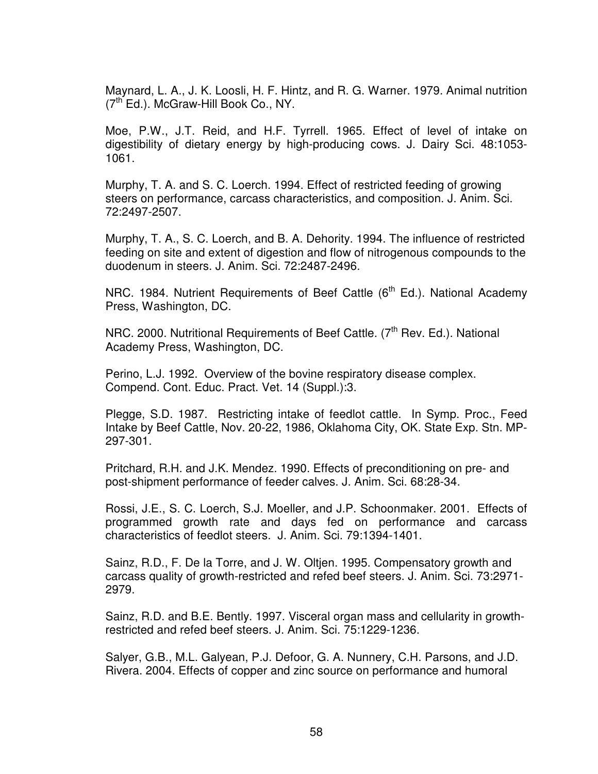Maynard, L. A., J. K. Loosli, H. F. Hintz, and R. G. Warner. 1979. Animal nutrition  $(7<sup>tn</sup> Ed.)$ . McGraw-Hill Book Co., NY.

Moe, P.W., J.T. Reid, and H.F. Tyrrell. 1965. Effect of level of intake on digestibility of dietary energy by high-producing cows. J. Dairy Sci. 48:1053- 1061.

Murphy, T. A. and S. C. Loerch. 1994. Effect of restricted feeding of growing steers on performance, carcass characteristics, and composition. J. Anim. Sci. 72:2497-2507.

Murphy, T. A., S. C. Loerch, and B. A. Dehority. 1994. The influence of restricted feeding on site and extent of digestion and flow of nitrogenous compounds to the duodenum in steers. J. Anim. Sci. 72:2487-2496.

NRC. 1984. Nutrient Requirements of Beef Cattle  $(6<sup>th</sup> Ed.)$ . National Academy Press, Washington, DC.

NRC. 2000. Nutritional Requirements of Beef Cattle. (7<sup>th</sup> Rev. Ed.). National Academy Press, Washington, DC.

Perino, L.J. 1992. Overview of the bovine respiratory disease complex. Compend. Cont. Educ. Pract. Vet. 14 (Suppl.):3.

Plegge, S.D. 1987. Restricting intake of feedlot cattle. In Symp. Proc., Feed Intake by Beef Cattle, Nov. 20-22, 1986, Oklahoma City, OK. State Exp. Stn. MP-297-301.

Pritchard, R.H. and J.K. Mendez. 1990. Effects of preconditioning on pre- and post-shipment performance of feeder calves. J. Anim. Sci. 68:28-34.

Rossi, J.E., S. C. Loerch, S.J. Moeller, and J.P. Schoonmaker. 2001. Effects of programmed growth rate and days fed on performance and carcass characteristics of feedlot steers. J. Anim. Sci. 79:1394-1401.

Sainz, R.D., F. De la Torre, and J. W. Oltjen. 1995. Compensatory growth and carcass quality of growth-restricted and refed beef steers. J. Anim. Sci. 73:2971- 2979.

Sainz, R.D. and B.E. Bently. 1997. Visceral organ mass and cellularity in growthrestricted and refed beef steers. J. Anim. Sci. 75:1229-1236.

Salyer, G.B., M.L. Galyean, P.J. Defoor, G. A. Nunnery, C.H. Parsons, and J.D. Rivera. 2004. Effects of copper and zinc source on performance and humoral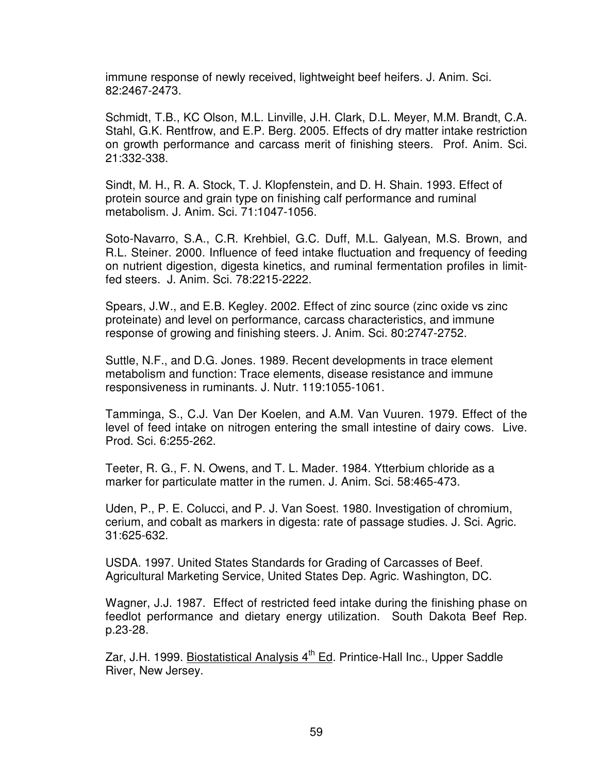immune response of newly received, lightweight beef heifers. J. Anim. Sci. 82:2467-2473.

Schmidt, T.B., KC Olson, M.L. Linville, J.H. Clark, D.L. Meyer, M.M. Brandt, C.A. Stahl, G.K. Rentfrow, and E.P. Berg. 2005. Effects of dry matter intake restriction on growth performance and carcass merit of finishing steers. Prof. Anim. Sci. 21:332-338.

Sindt, M. H., R. A. Stock, T. J. Klopfenstein, and D. H. Shain. 1993. Effect of protein source and grain type on finishing calf performance and ruminal metabolism. J. Anim. Sci. 71:1047-1056.

Soto-Navarro, S.A., C.R. Krehbiel, G.C. Duff, M.L. Galyean, M.S. Brown, and R.L. Steiner. 2000. Influence of feed intake fluctuation and frequency of feeding on nutrient digestion, digesta kinetics, and ruminal fermentation profiles in limitfed steers. J. Anim. Sci. 78:2215-2222.

Spears, J.W., and E.B. Kegley. 2002. Effect of zinc source (zinc oxide vs zinc proteinate) and level on performance, carcass characteristics, and immune response of growing and finishing steers. J. Anim. Sci. 80:2747-2752.

Suttle, N.F., and D.G. Jones. 1989. Recent developments in trace element metabolism and function: Trace elements, disease resistance and immune responsiveness in ruminants. J. Nutr. 119:1055-1061.

Tamminga, S., C.J. Van Der Koelen, and A.M. Van Vuuren. 1979. Effect of the level of feed intake on nitrogen entering the small intestine of dairy cows. Live. Prod. Sci. 6:255-262.

Teeter, R. G., F. N. Owens, and T. L. Mader. 1984. Ytterbium chloride as a marker for particulate matter in the rumen. J. Anim. Sci. 58:465-473.

Uden, P., P. E. Colucci, and P. J. Van Soest. 1980. Investigation of chromium, cerium, and cobalt as markers in digesta: rate of passage studies. J. Sci. Agric. 31:625-632.

USDA. 1997. United States Standards for Grading of Carcasses of Beef. Agricultural Marketing Service, United States Dep. Agric. Washington, DC.

Wagner, J.J. 1987. Effect of restricted feed intake during the finishing phase on feedlot performance and dietary energy utilization. South Dakota Beef Rep. p.23-28.

Zar, J.H. 1999. Biostatistical Analysis  $4<sup>th</sup>$  Ed. Printice-Hall Inc., Upper Saddle River, New Jersey.